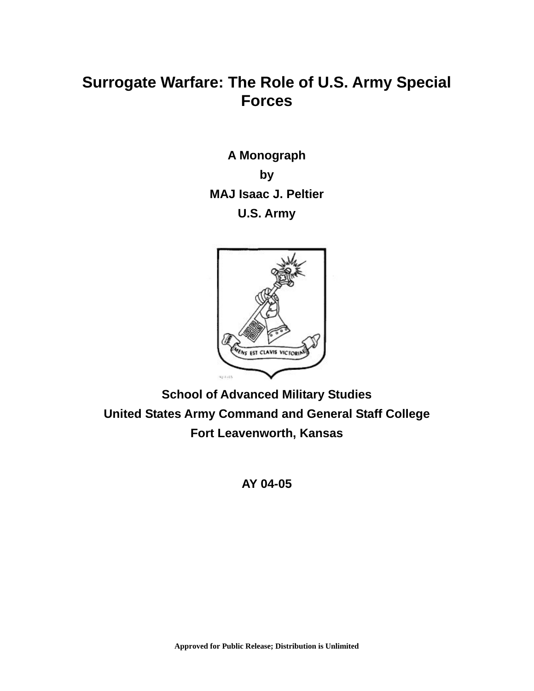# **Surrogate Warfare: The Role of U.S. Army Special Forces**

**A Monograph by MAJ Isaac J. Peltier U.S. Army** 



**School of Advanced Military Studies United States Army Command and General Staff College Fort Leavenworth, Kansas** 

**AY 04-05**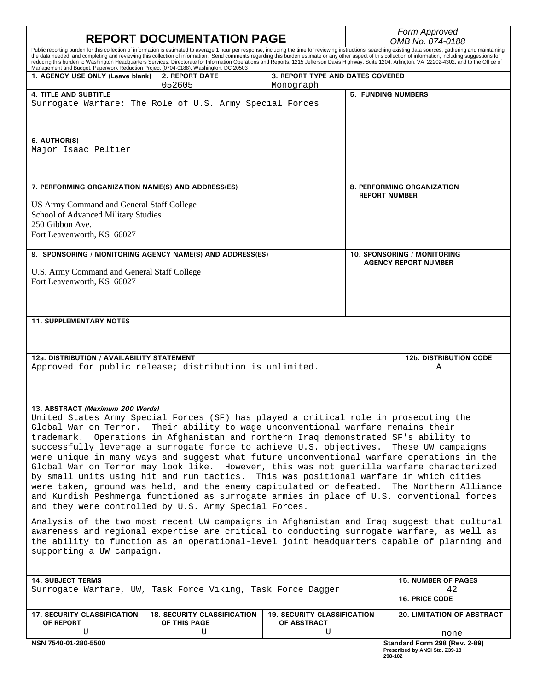| <b>REPORT DOCUMENTATION PAGE</b>                                                                                                                                                        |                                                                                                                                                                                                                                                                                                                                                                                                                                                                                                                                                                                                                                            |                                    |                                                    | Form Approved<br>OMB No. 074-0188  |  |
|-----------------------------------------------------------------------------------------------------------------------------------------------------------------------------------------|--------------------------------------------------------------------------------------------------------------------------------------------------------------------------------------------------------------------------------------------------------------------------------------------------------------------------------------------------------------------------------------------------------------------------------------------------------------------------------------------------------------------------------------------------------------------------------------------------------------------------------------------|------------------------------------|----------------------------------------------------|------------------------------------|--|
|                                                                                                                                                                                         | Public reporting burden for this collection of information is estimated to average 1 hour per response, including the time for reviewing instructions, searching existing data sources, gathering and maintaining<br>the data needed, and completing and reviewing this collection of information. Send comments regarding this burden estimate or any other aspect of this collection of information, including suggestions for<br>reducing this burden to Washington Headquarters Services, Directorate for Information Operations and Reports, 1215 Jefferson Davis Highway, Suite 1204, Arlington, VA 22202-4302, and to the Office of |                                    |                                                    |                                    |  |
| Management and Budget, Paperwork Reduction Project (0704-0188), Washington, DC 20503<br>1. AGENCY USE ONLY (Leave blank)                                                                | <b>2. REPORT DATE</b>                                                                                                                                                                                                                                                                                                                                                                                                                                                                                                                                                                                                                      | 3. REPORT TYPE AND DATES COVERED   |                                                    |                                    |  |
|                                                                                                                                                                                         | 052605                                                                                                                                                                                                                                                                                                                                                                                                                                                                                                                                                                                                                                     | Monograph                          |                                                    |                                    |  |
| <b>4. TITLE AND SUBTITLE</b>                                                                                                                                                            | Surrogate Warfare: The Role of U.S. Army Special Forces                                                                                                                                                                                                                                                                                                                                                                                                                                                                                                                                                                                    |                                    | <b>5. FUNDING NUMBERS</b>                          |                                    |  |
| 6. AUTHOR(S)<br>Major Isaac Peltier                                                                                                                                                     |                                                                                                                                                                                                                                                                                                                                                                                                                                                                                                                                                                                                                                            |                                    |                                                    |                                    |  |
| 7. PERFORMING ORGANIZATION NAME(S) AND ADDRESS(ES)                                                                                                                                      |                                                                                                                                                                                                                                                                                                                                                                                                                                                                                                                                                                                                                                            |                                    | 8. PERFORMING ORGANIZATION<br><b>REPORT NUMBER</b> |                                    |  |
| US Army Command and General Staff College<br>School of Advanced Military Studies<br>250 Gibbon Ave.<br>Fort Leavenworth, KS 66027                                                       |                                                                                                                                                                                                                                                                                                                                                                                                                                                                                                                                                                                                                                            |                                    |                                                    |                                    |  |
| 9. SPONSORING / MONITORING AGENCY NAME(S) AND ADDRESS(ES)                                                                                                                               |                                                                                                                                                                                                                                                                                                                                                                                                                                                                                                                                                                                                                                            |                                    | 10. SPONSORING / MONITORING                        |                                    |  |
| U.S. Army Command and General Staff College<br>Fort Leavenworth, KS 66027                                                                                                               |                                                                                                                                                                                                                                                                                                                                                                                                                                                                                                                                                                                                                                            |                                    |                                                    | <b>AGENCY REPORT NUMBER</b>        |  |
| <b>11. SUPPLEMENTARY NOTES</b>                                                                                                                                                          |                                                                                                                                                                                                                                                                                                                                                                                                                                                                                                                                                                                                                                            |                                    |                                                    |                                    |  |
|                                                                                                                                                                                         |                                                                                                                                                                                                                                                                                                                                                                                                                                                                                                                                                                                                                                            |                                    |                                                    |                                    |  |
| 12a. DISTRIBUTION / AVAILABILITY STATEMENT<br>Approved for public release; distribution is unlimited.                                                                                   |                                                                                                                                                                                                                                                                                                                                                                                                                                                                                                                                                                                                                                            |                                    |                                                    | <b>12b. DISTRIBUTION CODE</b><br>Α |  |
| 13. ABSTRACT (Maximum 200 Words)                                                                                                                                                        |                                                                                                                                                                                                                                                                                                                                                                                                                                                                                                                                                                                                                                            |                                    |                                                    |                                    |  |
| United States Army Special Forces (SF) has played a critical role in prosecuting the                                                                                                    |                                                                                                                                                                                                                                                                                                                                                                                                                                                                                                                                                                                                                                            |                                    |                                                    |                                    |  |
| Global War on Terror. Their ability to wage unconventional warfare remains their                                                                                                        |                                                                                                                                                                                                                                                                                                                                                                                                                                                                                                                                                                                                                                            |                                    |                                                    |                                    |  |
| trademark. Operations in Afghanistan and northern Iraq demonstrated SF's ability to<br>successfully leverage a surrogate force to achieve U.S. objectives. These UW campaigns           |                                                                                                                                                                                                                                                                                                                                                                                                                                                                                                                                                                                                                                            |                                    |                                                    |                                    |  |
| were unique in many ways and suggest what future unconventional warfare operations in the                                                                                               |                                                                                                                                                                                                                                                                                                                                                                                                                                                                                                                                                                                                                                            |                                    |                                                    |                                    |  |
| Global War on Terror may look like. However, this was not guerilla warfare characterized<br>by small units using hit and run tactics. This was positional warfare in which cities       |                                                                                                                                                                                                                                                                                                                                                                                                                                                                                                                                                                                                                                            |                                    |                                                    |                                    |  |
| were taken, ground was held, and the enemy capitulated or defeated. The Northern Alliance                                                                                               |                                                                                                                                                                                                                                                                                                                                                                                                                                                                                                                                                                                                                                            |                                    |                                                    |                                    |  |
|                                                                                                                                                                                         | and Kurdish Peshmerga functioned as surrogate armies in place of U.S. conventional forces<br>and they were controlled by U.S. Army Special Forces.                                                                                                                                                                                                                                                                                                                                                                                                                                                                                         |                                    |                                                    |                                    |  |
|                                                                                                                                                                                         | Analysis of the two most recent UW campaigns in Afghanistan and Iraq suggest that cultural                                                                                                                                                                                                                                                                                                                                                                                                                                                                                                                                                 |                                    |                                                    |                                    |  |
| awareness and regional expertise are critical to conducting surrogate warfare, as well as<br>the ability to function as an operational-level joint headquarters capable of planning and |                                                                                                                                                                                                                                                                                                                                                                                                                                                                                                                                                                                                                                            |                                    |                                                    |                                    |  |
| supporting a UW campaign.                                                                                                                                                               |                                                                                                                                                                                                                                                                                                                                                                                                                                                                                                                                                                                                                                            |                                    |                                                    |                                    |  |
|                                                                                                                                                                                         |                                                                                                                                                                                                                                                                                                                                                                                                                                                                                                                                                                                                                                            |                                    |                                                    |                                    |  |
| <b>14. SUBJECT TERMS</b>                                                                                                                                                                |                                                                                                                                                                                                                                                                                                                                                                                                                                                                                                                                                                                                                                            |                                    |                                                    | <b>15. NUMBER OF PAGES</b>         |  |
| Surrogate Warfare, UW, Task Force Viking, Task Force Dagger                                                                                                                             |                                                                                                                                                                                                                                                                                                                                                                                                                                                                                                                                                                                                                                            |                                    |                                                    | 42<br><b>16. PRICE CODE</b>        |  |
| <b>17. SECURITY CLASSIFICATION</b>                                                                                                                                                      | <b>18. SECURITY CLASSIFICATION</b>                                                                                                                                                                                                                                                                                                                                                                                                                                                                                                                                                                                                         | <b>19. SECURITY CLASSIFICATION</b> |                                                    | 20. LIMITATION OF ABSTRACT         |  |
| OF REPORT<br>U                                                                                                                                                                          | OF THIS PAGE<br>U                                                                                                                                                                                                                                                                                                                                                                                                                                                                                                                                                                                                                          | OF ABSTRACT<br>U                   |                                                    | none                               |  |
| NSN 7540-01-280-5500                                                                                                                                                                    |                                                                                                                                                                                                                                                                                                                                                                                                                                                                                                                                                                                                                                            |                                    |                                                    | Standard Form 298 (Rev. 2-89)      |  |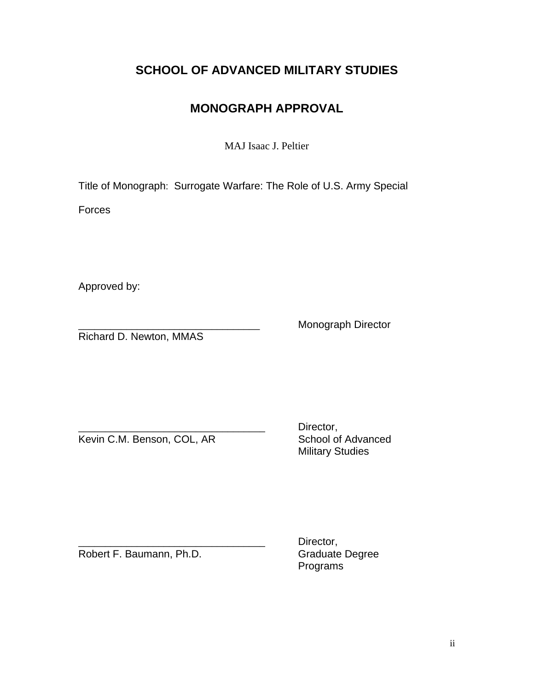# **SCHOOL OF ADVANCED MILITARY STUDIES**

# **MONOGRAPH APPROVAL**

MAJ Isaac J. Peltier

Title of Monograph: Surrogate Warfare: The Role of U.S. Army Special

**Forces** 

Approved by:

Richard D. Newton, MMAS

Monograph Director

Kevin C.M. Benson, COL, AR School of Advanced

Director, Military Studies

Robert F. Baumann, Ph.D.

Director,<br>Graduate Degree Programs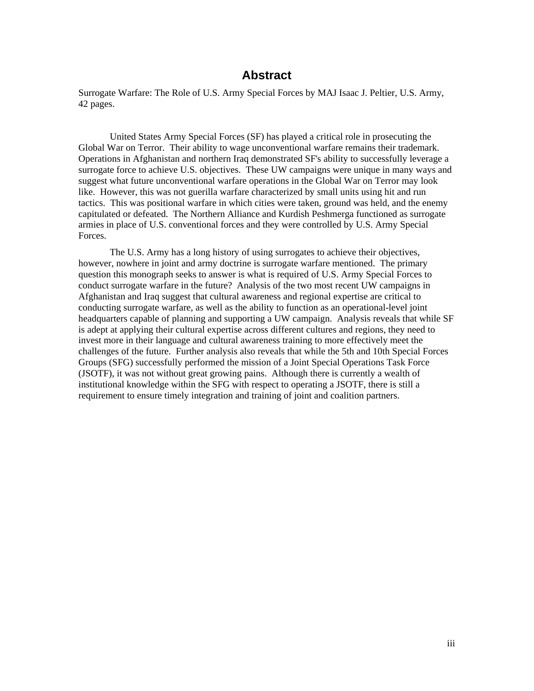# **Abstract**

Surrogate Warfare: The Role of U.S. Army Special Forces by MAJ Isaac J. Peltier, U.S. Army, 42 pages.

 United States Army Special Forces (SF) has played a critical role in prosecuting the Global War on Terror. Their ability to wage unconventional warfare remains their trademark. Operations in Afghanistan and northern Iraq demonstrated SF's ability to successfully leverage a surrogate force to achieve U.S. objectives. These UW campaigns were unique in many ways and suggest what future unconventional warfare operations in the Global War on Terror may look like. However, this was not guerilla warfare characterized by small units using hit and run tactics. This was positional warfare in which cities were taken, ground was held, and the enemy capitulated or defeated. The Northern Alliance and Kurdish Peshmerga functioned as surrogate armies in place of U.S. conventional forces and they were controlled by U.S. Army Special Forces.

 The U.S. Army has a long history of using surrogates to achieve their objectives, however, nowhere in joint and army doctrine is surrogate warfare mentioned. The primary question this monograph seeks to answer is what is required of U.S. Army Special Forces to conduct surrogate warfare in the future? Analysis of the two most recent UW campaigns in Afghanistan and Iraq suggest that cultural awareness and regional expertise are critical to conducting surrogate warfare, as well as the ability to function as an operational-level joint headquarters capable of planning and supporting a UW campaign. Analysis reveals that while SF is adept at applying their cultural expertise across different cultures and regions, they need to invest more in their language and cultural awareness training to more effectively meet the challenges of the future. Further analysis also reveals that while the 5th and 10th Special Forces Groups (SFG) successfully performed the mission of a Joint Special Operations Task Force (JSOTF), it was not without great growing pains. Although there is currently a wealth of institutional knowledge within the SFG with respect to operating a JSOTF, there is still a requirement to ensure timely integration and training of joint and coalition partners.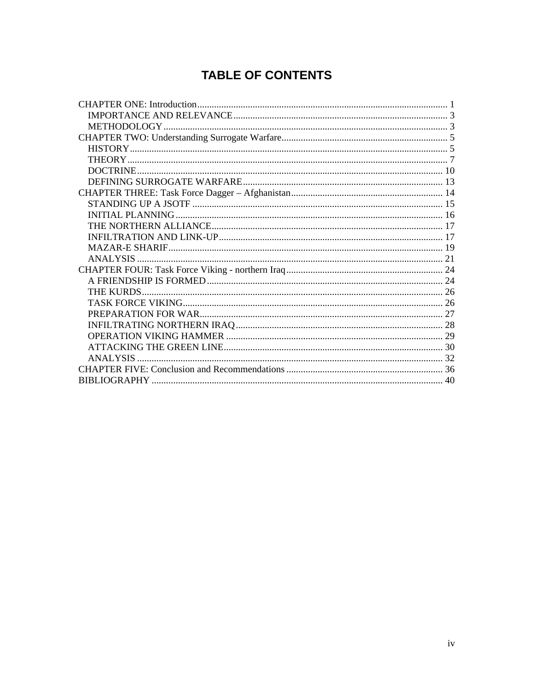# **TABLE OF CONTENTS**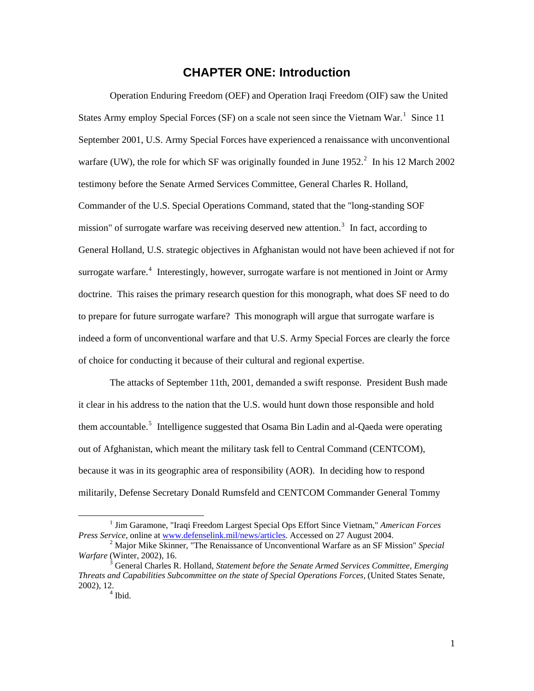# **CHAPTER ONE: Introduction**

<span id="page-5-0"></span>Operation Enduring Freedom (OEF) and Operation Iraqi Freedom (OIF) saw the United States Army employ Special Forces (SF) on a scale not seen since the Vietnam War.<sup>[1](#page-5-1)</sup> Since 11 September 2001, U.S. Army Special Forces have experienced a renaissance with unconventional warfare (UW), the role for which SF was originally founded in June  $1952<sup>2</sup>$  $1952<sup>2</sup>$  $1952<sup>2</sup>$  In his 12 March 2002 testimony before the Senate Armed Services Committee, General Charles R. Holland, Commander of the U.S. Special Operations Command, stated that the "long-standing SOF mission" of surrogate warfare was receiving deserved new attention.<sup>[3](#page-5-3)</sup> In fact, according to General Holland, U.S. strategic objectives in Afghanistan would not have been achieved if not for surrogate warfare.<sup>[4](#page-5-4)</sup> Interestingly, however, surrogate warfare is not mentioned in Joint or Army doctrine. This raises the primary research question for this monograph, what does SF need to do to prepare for future surrogate warfare? This monograph will argue that surrogate warfare is indeed a form of unconventional warfare and that U.S. Army Special Forces are clearly the force of choice for conducting it because of their cultural and regional expertise.

The attacks of September 11th, 2001, demanded a swift response. President Bush made it clear in his address to the nation that the U.S. would hunt down those responsible and hold them accountable.<sup>[5](#page-5-5)</sup> Intelligence suggested that Osama Bin Ladin and al-Qaeda were operating out of Afghanistan, which meant the military task fell to Central Command (CENTCOM), because it was in its geographic area of responsibility (AOR). In deciding how to respond militarily, Defense Secretary Donald Rumsfeld and CENTCOM Commander General Tommy

<span id="page-5-1"></span><sup>&</sup>lt;u>1</u> <sup>1</sup> Jim Garamone, "Iraqi Freedom Largest Special Ops Effort Since Vietnam," *American Forces Press Service*, online at [www.defenselink.mil/news/articles](http://www.defenselink.mil/news/articles). Accessed on 27 August 2004.

<span id="page-5-2"></span>Major Mike Skinner, "The Renaissance of Unconventional Warfare as an SF Mission" *Special Warfare* (Winter, 2002), 16.

<span id="page-5-5"></span><span id="page-5-4"></span><span id="page-5-3"></span><sup>&</sup>lt;sup>3</sup> General Charles R. Holland, *Statement before the Senate Armed Services Committee, Emerging Threats and Capabilities Subcommittee on the state of Special Operations Forces,* (United States Senate,  $2002$ ),  $12.4$  Ibid.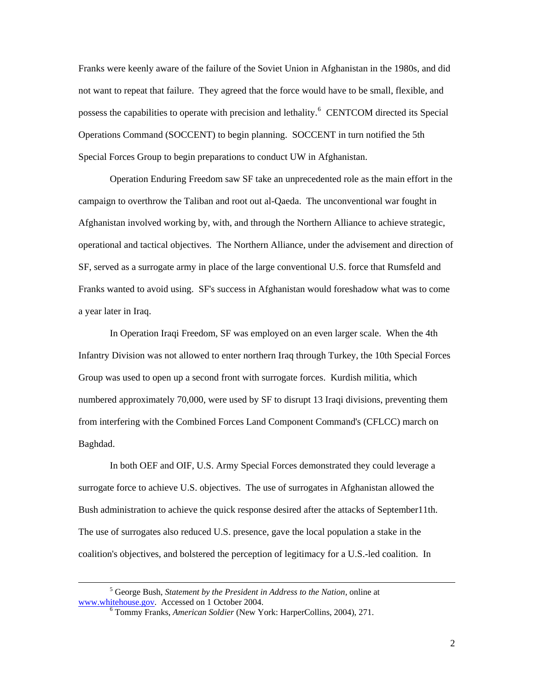Franks were keenly aware of the failure of the Soviet Union in Afghanistan in the 1980s, and did not want to repeat that failure. They agreed that the force would have to be small, flexible, and possess the capabilities to operate with precision and lethality.<sup>[6](#page-6-0)</sup> CENTCOM directed its Special Operations Command (SOCCENT) to begin planning. SOCCENT in turn notified the 5th Special Forces Group to begin preparations to conduct UW in Afghanistan.

Operation Enduring Freedom saw SF take an unprecedented role as the main effort in the campaign to overthrow the Taliban and root out al-Qaeda. The unconventional war fought in Afghanistan involved working by, with, and through the Northern Alliance to achieve strategic, operational and tactical objectives. The Northern Alliance, under the advisement and direction of SF, served as a surrogate army in place of the large conventional U.S. force that Rumsfeld and Franks wanted to avoid using. SF's success in Afghanistan would foreshadow what was to come a year later in Iraq.

In Operation Iraqi Freedom, SF was employed on an even larger scale. When the 4th Infantry Division was not allowed to enter northern Iraq through Turkey, the 10th Special Forces Group was used to open up a second front with surrogate forces. Kurdish militia, which numbered approximately 70,000, were used by SF to disrupt 13 Iraqi divisions, preventing them from interfering with the Combined Forces Land Component Command's (CFLCC) march on Baghdad.

In both OEF and OIF, U.S. Army Special Forces demonstrated they could leverage a surrogate force to achieve U.S. objectives. The use of surrogates in Afghanistan allowed the Bush administration to achieve the quick response desired after the attacks of September11th. The use of surrogates also reduced U.S. presence, gave the local population a stake in the coalition's objectives, and bolstered the perception of legitimacy for a U.S.-led coalition. In

<span id="page-6-0"></span> $\frac{1}{5}$  George Bush, *Statement by the President in Address to the Nation*, online at [www.whitehouse.gov](http://www.whitehouse.gov/). Accessed on 1 October 2004.

Tommy Franks, *American Soldier* (New York: HarperCollins, 2004), 271.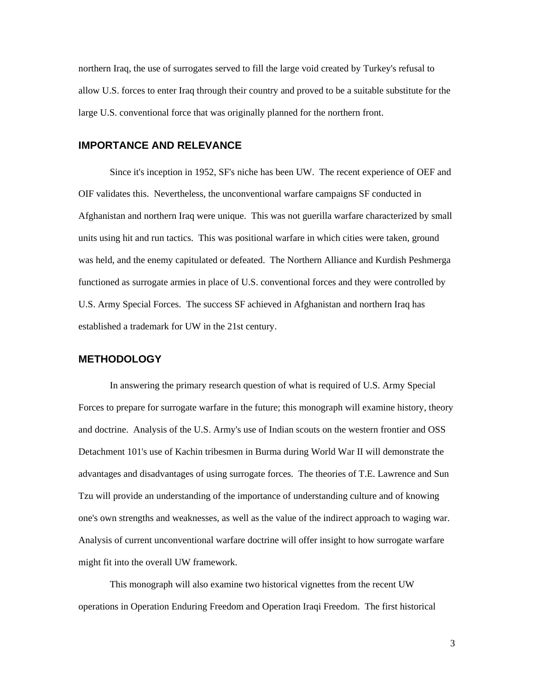<span id="page-7-0"></span>northern Iraq, the use of surrogates served to fill the large void created by Turkey's refusal to allow U.S. forces to enter Iraq through their country and proved to be a suitable substitute for the large U.S. conventional force that was originally planned for the northern front.

### **IMPORTANCE AND RELEVANCE**

Since it's inception in 1952, SF's niche has been UW. The recent experience of OEF and OIF validates this. Nevertheless, the unconventional warfare campaigns SF conducted in Afghanistan and northern Iraq were unique. This was not guerilla warfare characterized by small units using hit and run tactics. This was positional warfare in which cities were taken, ground was held, and the enemy capitulated or defeated. The Northern Alliance and Kurdish Peshmerga functioned as surrogate armies in place of U.S. conventional forces and they were controlled by U.S. Army Special Forces. The success SF achieved in Afghanistan and northern Iraq has established a trademark for UW in the 21st century.

#### **METHODOLOGY**

In answering the primary research question of what is required of U.S. Army Special Forces to prepare for surrogate warfare in the future; this monograph will examine history, theory and doctrine. Analysis of the U.S. Army's use of Indian scouts on the western frontier and OSS Detachment 101's use of Kachin tribesmen in Burma during World War II will demonstrate the advantages and disadvantages of using surrogate forces. The theories of T.E. Lawrence and Sun Tzu will provide an understanding of the importance of understanding culture and of knowing one's own strengths and weaknesses, as well as the value of the indirect approach to waging war. Analysis of current unconventional warfare doctrine will offer insight to how surrogate warfare might fit into the overall UW framework.

This monograph will also examine two historical vignettes from the recent UW operations in Operation Enduring Freedom and Operation Iraqi Freedom. The first historical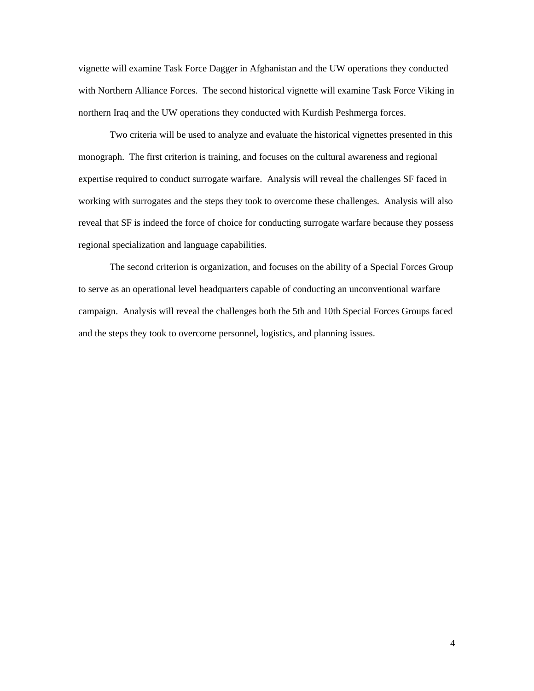vignette will examine Task Force Dagger in Afghanistan and the UW operations they conducted with Northern Alliance Forces. The second historical vignette will examine Task Force Viking in northern Iraq and the UW operations they conducted with Kurdish Peshmerga forces.

Two criteria will be used to analyze and evaluate the historical vignettes presented in this monograph. The first criterion is training, and focuses on the cultural awareness and regional expertise required to conduct surrogate warfare. Analysis will reveal the challenges SF faced in working with surrogates and the steps they took to overcome these challenges. Analysis will also reveal that SF is indeed the force of choice for conducting surrogate warfare because they possess regional specialization and language capabilities.

The second criterion is organization, and focuses on the ability of a Special Forces Group to serve as an operational level headquarters capable of conducting an unconventional warfare campaign. Analysis will reveal the challenges both the 5th and 10th Special Forces Groups faced and the steps they took to overcome personnel, logistics, and planning issues.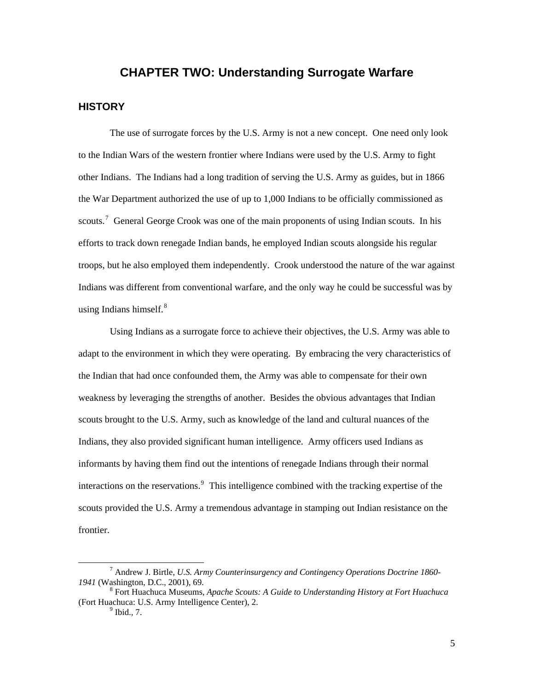# **CHAPTER TWO: Understanding Surrogate Warfare**

#### <span id="page-9-0"></span>**HISTORY**

The use of surrogate forces by the U.S. Army is not a new concept. One need only look to the Indian Wars of the western frontier where Indians were used by the U.S. Army to fight other Indians. The Indians had a long tradition of serving the U.S. Army as guides, but in 1866 the War Department authorized the use of up to 1,000 Indians to be officially commissioned as scouts.<sup>[7](#page-9-1)</sup> General George Crook was one of the main proponents of using Indian scouts. In his efforts to track down renegade Indian bands, he employed Indian scouts alongside his regular troops, but he also employed them independently. Crook understood the nature of the war against Indians was different from conventional warfare, and the only way he could be successful was by using Indians himself. $8$ 

Using Indians as a surrogate force to achieve their objectives, the U.S. Army was able to adapt to the environment in which they were operating. By embracing the very characteristics of the Indian that had once confounded them, the Army was able to compensate for their own weakness by leveraging the strengths of another. Besides the obvious advantages that Indian scouts brought to the U.S. Army, such as knowledge of the land and cultural nuances of the Indians, they also provided significant human intelligence. Army officers used Indians as informants by having them find out the intentions of renegade Indians through their normal interactions on the reservations.<sup>[9](#page-9-3)</sup> This intelligence combined with the tracking expertise of the scouts provided the U.S. Army a tremendous advantage in stamping out Indian resistance on the frontier.

<span id="page-9-1"></span> <sup>7</sup> Andrew J. Birtle, *U.S. Army Counterinsurgency and Contingency Operations Doctrine 1860- 1941* (Washington, D.C., 2001), 69.

<span id="page-9-3"></span><span id="page-9-2"></span>Fort Huachuca Museums, *Apache Scouts: A Guide to Understanding History at Fort Huachuca* (Fort Huachuca: U.S. Army Intelligence Center), 2.

 $<sup>9</sup>$  Ibid., 7.</sup>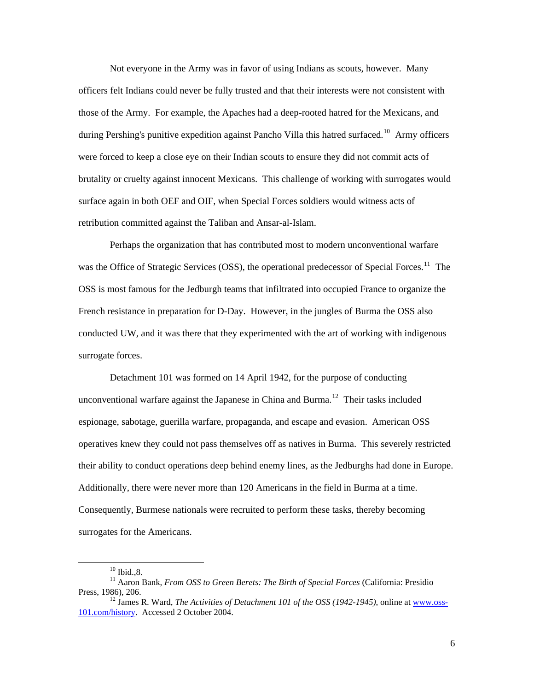Not everyone in the Army was in favor of using Indians as scouts, however. Many officers felt Indians could never be fully trusted and that their interests were not consistent with those of the Army. For example, the Apaches had a deep-rooted hatred for the Mexicans, and during Pershing's punitive expedition against Pancho Villa this hatred surfaced.<sup>[10](#page-10-0)</sup> Army officers were forced to keep a close eye on their Indian scouts to ensure they did not commit acts of brutality or cruelty against innocent Mexicans. This challenge of working with surrogates would surface again in both OEF and OIF, when Special Forces soldiers would witness acts of retribution committed against the Taliban and Ansar-al-Islam.

Perhaps the organization that has contributed most to modern unconventional warfare was the Office of Strategic Services (OSS), the operational predecessor of Special Forces.<sup>[11](#page-10-1)</sup> The OSS is most famous for the Jedburgh teams that infiltrated into occupied France to organize the French resistance in preparation for D-Day. However, in the jungles of Burma the OSS also conducted UW, and it was there that they experimented with the art of working with indigenous surrogate forces.

Detachment 101 was formed on 14 April 1942, for the purpose of conducting unconventional warfare against the Japanese in China and Burma.<sup>[12](#page-10-2)</sup> Their tasks included espionage, sabotage, guerilla warfare, propaganda, and escape and evasion. American OSS operatives knew they could not pass themselves off as natives in Burma. This severely restricted their ability to conduct operations deep behind enemy lines, as the Jedburghs had done in Europe. Additionally, there were never more than 120 Americans in the field in Burma at a time. Consequently, Burmese nationals were recruited to perform these tasks, thereby becoming surrogates for the Americans.

 $10$  Ibid., 8.

<span id="page-10-1"></span><span id="page-10-0"></span><sup>&</sup>lt;sup>11</sup> Aaron Bank, *From OSS to Green Berets: The Birth of Special Forces* (California: Presidio Press, 1986), 206.<br><sup>12</sup> James R. Ward, *The Activities of Detachment 101 of the OSS (1942-1945)*, online at [www.oss-](http://www.oss-101.com/history)

<span id="page-10-2"></span>[<sup>101.</sup>com/history](http://www.oss-101.com/history). Accessed 2 October 2004.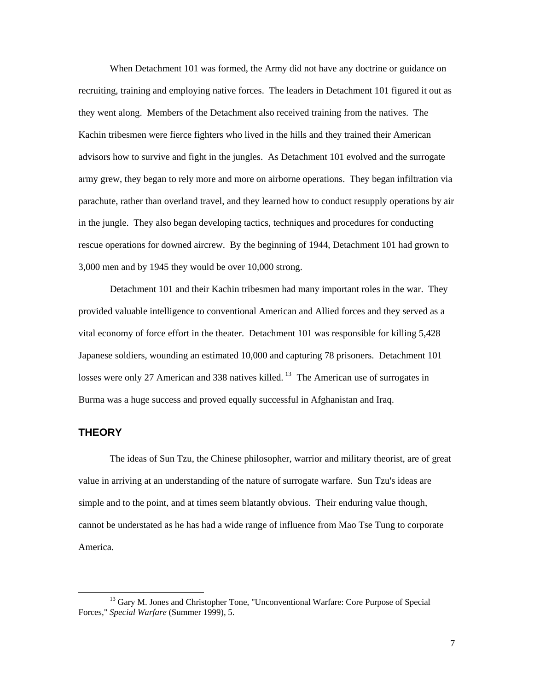<span id="page-11-0"></span>When Detachment 101 was formed, the Army did not have any doctrine or guidance on recruiting, training and employing native forces. The leaders in Detachment 101 figured it out as they went along. Members of the Detachment also received training from the natives. The Kachin tribesmen were fierce fighters who lived in the hills and they trained their American advisors how to survive and fight in the jungles. As Detachment 101 evolved and the surrogate army grew, they began to rely more and more on airborne operations. They began infiltration via parachute, rather than overland travel, and they learned how to conduct resupply operations by air in the jungle. They also began developing tactics, techniques and procedures for conducting rescue operations for downed aircrew. By the beginning of 1944, Detachment 101 had grown to 3,000 men and by 1945 they would be over 10,000 strong.

Detachment 101 and their Kachin tribesmen had many important roles in the war. They provided valuable intelligence to conventional American and Allied forces and they served as a vital economy of force effort in the theater. Detachment 101 was responsible for killing 5,428 Japanese soldiers, wounding an estimated 10,000 and capturing 78 prisoners. Detachment 101 losses were only 27 American and 338 natives killed.<sup>[13](#page-11-1)</sup> The American use of surrogates in Burma was a huge success and proved equally successful in Afghanistan and Iraq.

#### **THEORY**

The ideas of Sun Tzu, the Chinese philosopher, warrior and military theorist, are of great value in arriving at an understanding of the nature of surrogate warfare. Sun Tzu's ideas are simple and to the point, and at times seem blatantly obvious. Their enduring value though, cannot be understated as he has had a wide range of influence from Mao Tse Tung to corporate America.

<span id="page-11-1"></span><sup>&</sup>lt;sup>13</sup> Gary M. Jones and Christopher Tone, "Unconventional Warfare: Core Purpose of Special Forces," *Special Warfare* (Summer 1999), 5.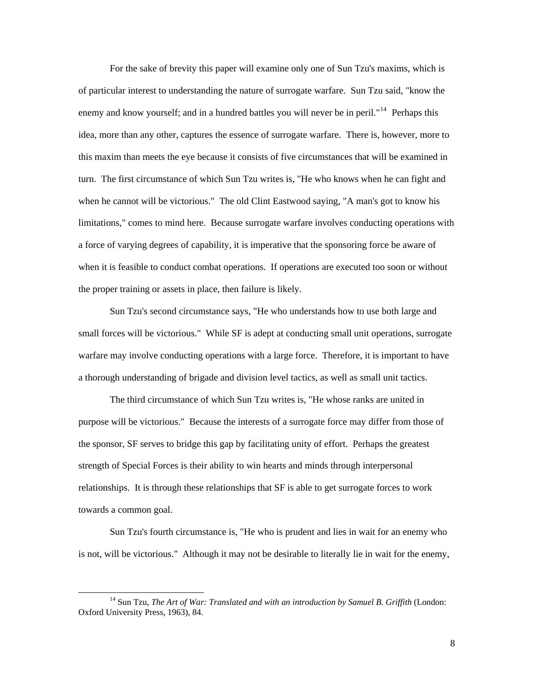For the sake of brevity this paper will examine only one of Sun Tzu's maxims, which is of particular interest to understanding the nature of surrogate warfare. Sun Tzu said, "know the enemy and know yourself; and in a hundred battles you will never be in peril."<sup>[14](#page-12-0)</sup> Perhaps this idea, more than any other, captures the essence of surrogate warfare. There is, however, more to this maxim than meets the eye because it consists of five circumstances that will be examined in turn. The first circumstance of which Sun Tzu writes is, "He who knows when he can fight and when he cannot will be victorious." The old Clint Eastwood saying, "A man's got to know his limitations," comes to mind here. Because surrogate warfare involves conducting operations with a force of varying degrees of capability, it is imperative that the sponsoring force be aware of when it is feasible to conduct combat operations. If operations are executed too soon or without the proper training or assets in place, then failure is likely.

Sun Tzu's second circumstance says, "He who understands how to use both large and small forces will be victorious." While SF is adept at conducting small unit operations, surrogate warfare may involve conducting operations with a large force. Therefore, it is important to have a thorough understanding of brigade and division level tactics, as well as small unit tactics.

The third circumstance of which Sun Tzu writes is, "He whose ranks are united in purpose will be victorious." Because the interests of a surrogate force may differ from those of the sponsor, SF serves to bridge this gap by facilitating unity of effort. Perhaps the greatest strength of Special Forces is their ability to win hearts and minds through interpersonal relationships. It is through these relationships that SF is able to get surrogate forces to work towards a common goal.

Sun Tzu's fourth circumstance is, "He who is prudent and lies in wait for an enemy who is not, will be victorious." Although it may not be desirable to literally lie in wait for the enemy,

<span id="page-12-0"></span> <sup>14</sup> Sun Tzu, *The Art of War: Translated and with an introduction by Samuel B. Griffith* (London: Oxford University Press, 1963), 84.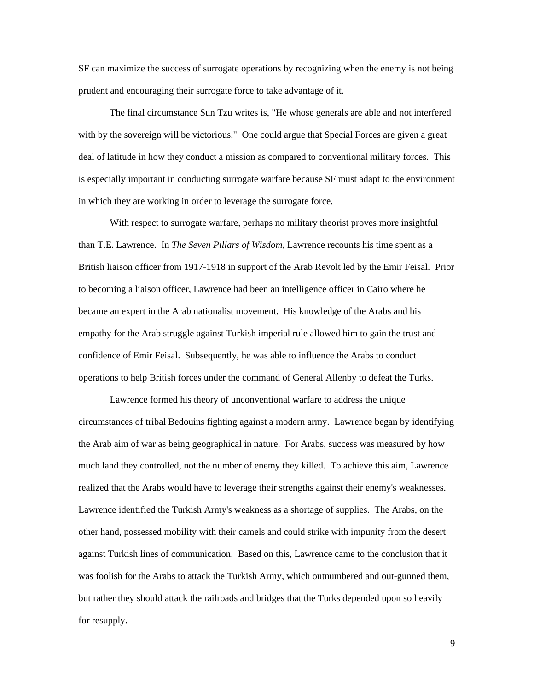SF can maximize the success of surrogate operations by recognizing when the enemy is not being prudent and encouraging their surrogate force to take advantage of it.

The final circumstance Sun Tzu writes is, "He whose generals are able and not interfered with by the sovereign will be victorious." One could argue that Special Forces are given a great deal of latitude in how they conduct a mission as compared to conventional military forces. This is especially important in conducting surrogate warfare because SF must adapt to the environment in which they are working in order to leverage the surrogate force.

With respect to surrogate warfare, perhaps no military theorist proves more insightful than T.E. Lawrence. In *The Seven Pillars of Wisdom*, Lawrence recounts his time spent as a British liaison officer from 1917-1918 in support of the Arab Revolt led by the Emir Feisal. Prior to becoming a liaison officer, Lawrence had been an intelligence officer in Cairo where he became an expert in the Arab nationalist movement. His knowledge of the Arabs and his empathy for the Arab struggle against Turkish imperial rule allowed him to gain the trust and confidence of Emir Feisal. Subsequently, he was able to influence the Arabs to conduct operations to help British forces under the command of General Allenby to defeat the Turks.

Lawrence formed his theory of unconventional warfare to address the unique circumstances of tribal Bedouins fighting against a modern army. Lawrence began by identifying the Arab aim of war as being geographical in nature. For Arabs, success was measured by how much land they controlled, not the number of enemy they killed. To achieve this aim, Lawrence realized that the Arabs would have to leverage their strengths against their enemy's weaknesses. Lawrence identified the Turkish Army's weakness as a shortage of supplies. The Arabs, on the other hand, possessed mobility with their camels and could strike with impunity from the desert against Turkish lines of communication. Based on this, Lawrence came to the conclusion that it was foolish for the Arabs to attack the Turkish Army, which outnumbered and out-gunned them, but rather they should attack the railroads and bridges that the Turks depended upon so heavily for resupply.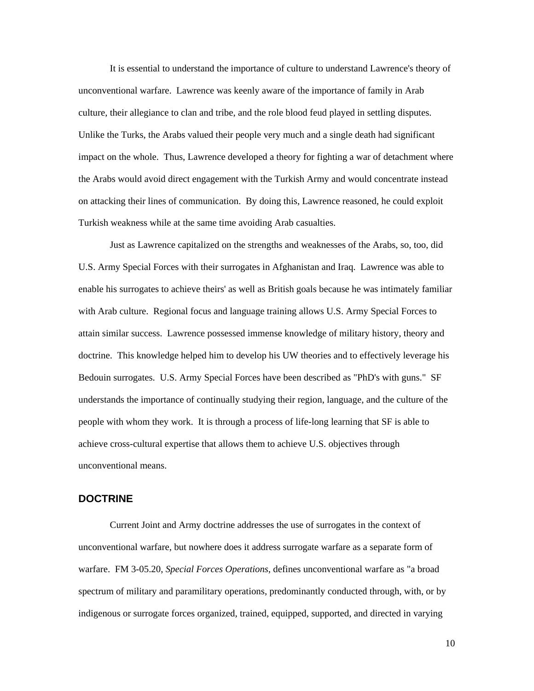<span id="page-14-0"></span>It is essential to understand the importance of culture to understand Lawrence's theory of unconventional warfare. Lawrence was keenly aware of the importance of family in Arab culture, their allegiance to clan and tribe, and the role blood feud played in settling disputes. Unlike the Turks, the Arabs valued their people very much and a single death had significant impact on the whole. Thus, Lawrence developed a theory for fighting a war of detachment where the Arabs would avoid direct engagement with the Turkish Army and would concentrate instead on attacking their lines of communication. By doing this, Lawrence reasoned, he could exploit Turkish weakness while at the same time avoiding Arab casualties.

Just as Lawrence capitalized on the strengths and weaknesses of the Arabs, so, too, did U.S. Army Special Forces with their surrogates in Afghanistan and Iraq. Lawrence was able to enable his surrogates to achieve theirs' as well as British goals because he was intimately familiar with Arab culture. Regional focus and language training allows U.S. Army Special Forces to attain similar success. Lawrence possessed immense knowledge of military history, theory and doctrine. This knowledge helped him to develop his UW theories and to effectively leverage his Bedouin surrogates. U.S. Army Special Forces have been described as "PhD's with guns." SF understands the importance of continually studying their region, language, and the culture of the people with whom they work. It is through a process of life-long learning that SF is able to achieve cross-cultural expertise that allows them to achieve U.S. objectives through unconventional means.

#### **DOCTRINE**

Current Joint and Army doctrine addresses the use of surrogates in the context of unconventional warfare, but nowhere does it address surrogate warfare as a separate form of warfare. FM 3-05.20, *Special Forces Operations*, defines unconventional warfare as "a broad spectrum of military and paramilitary operations, predominantly conducted through, with, or by indigenous or surrogate forces organized, trained, equipped, supported, and directed in varying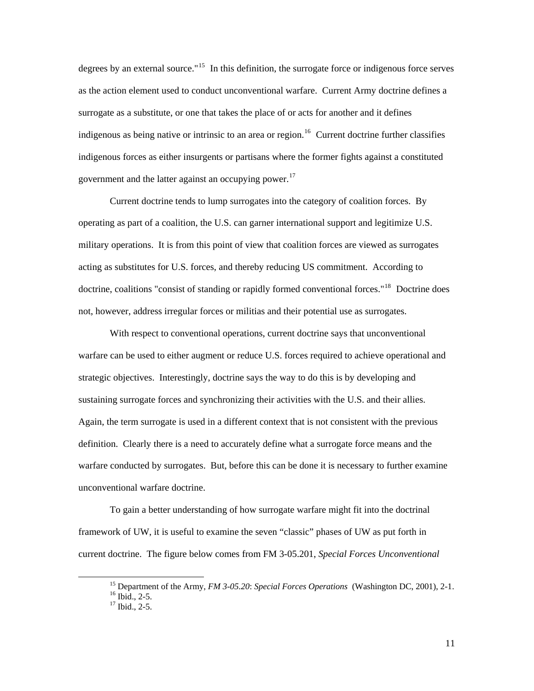degrees by an external source."<sup>[15](#page-15-0)</sup> In this definition, the surrogate force or indigenous force serves as the action element used to conduct unconventional warfare. Current Army doctrine defines a surrogate as a substitute, or one that takes the place of or acts for another and it defines indigenous as being native or intrinsic to an area or region.<sup>[16](#page-15-1)</sup> Current doctrine further classifies indigenous forces as either insurgents or partisans where the former fights against a constituted government and the latter against an occupying power.<sup>[17](#page-15-2)</sup>

Current doctrine tends to lump surrogates into the category of coalition forces. By operating as part of a coalition, the U.S. can garner international support and legitimize U.S. military operations. It is from this point of view that coalition forces are viewed as surrogates acting as substitutes for U.S. forces, and thereby reducing US commitment. According to doctrine, coalitions "consist of standing or rapidly formed conventional forces."<sup>[18](#page-15-3)</sup> Doctrine does not, however, address irregular forces or militias and their potential use as surrogates.

With respect to conventional operations, current doctrine says that unconventional warfare can be used to either augment or reduce U.S. forces required to achieve operational and strategic objectives. Interestingly, doctrine says the way to do this is by developing and sustaining surrogate forces and synchronizing their activities with the U.S. and their allies. Again, the term surrogate is used in a different context that is not consistent with the previous definition. Clearly there is a need to accurately define what a surrogate force means and the warfare conducted by surrogates. But, before this can be done it is necessary to further examine unconventional warfare doctrine.

To gain a better understanding of how surrogate warfare might fit into the doctrinal framework of UW, it is useful to examine the seven "classic" phases of UW as put forth in current doctrine. The figure below comes from FM 3-05.201, *Special Forces Unconventional* 

<sup>&</sup>lt;sup>15</sup> Department of the Army, *FM 3-05.20: Special Forces Operations* (Washington DC, 2001), 2-1.<br><sup>16</sup> Ibid., 2-5.

<span id="page-15-3"></span><span id="page-15-2"></span><span id="page-15-1"></span><span id="page-15-0"></span>

<sup>&</sup>lt;sup>17</sup> Ibid., 2-5.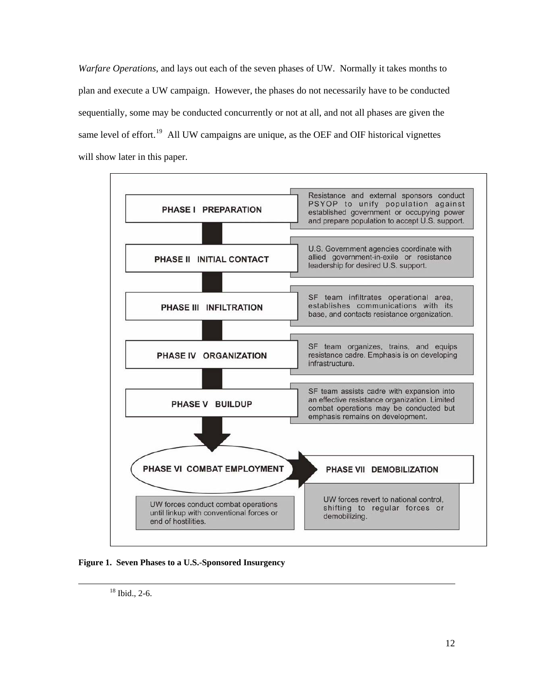*Warfare Operations*, and lays out each of the seven phases of UW. Normally it takes months to plan and execute a UW campaign. However, the phases do not necessarily have to be conducted sequentially, some may be conducted concurrently or not at all, and not all phases are given the same level of effort.<sup>[19](#page-16-0)</sup> All UW campaigns are unique, as the OEF and OIF historical vignettes will show later in this paper.



<span id="page-16-0"></span>**Figure 1. Seven Phases to a U.S.-Sponsored Insurgency** 

 <sup>18</sup> Ibid., 2-6.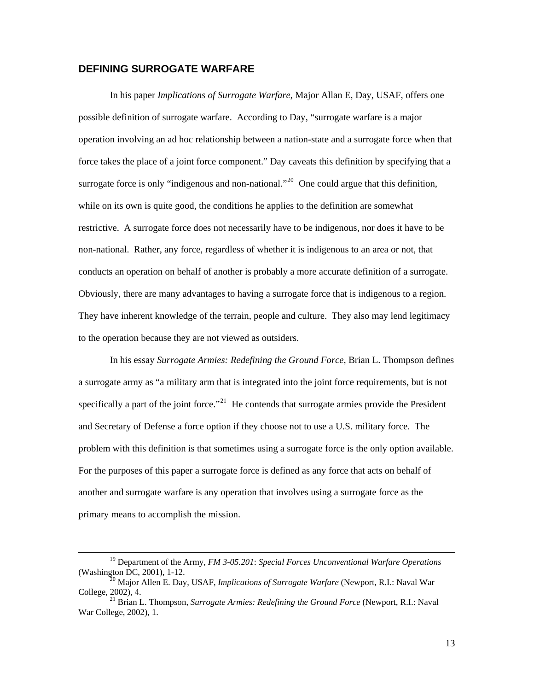#### <span id="page-17-0"></span>**DEFINING SURROGATE WARFARE**

In his paper *Implications of Surrogate Warfare*, Major Allan E, Day, USAF, offers one possible definition of surrogate warfare. According to Day, "surrogate warfare is a major operation involving an ad hoc relationship between a nation-state and a surrogate force when that force takes the place of a joint force component." Day caveats this definition by specifying that a surrogate force is only "indigenous and non-national."<sup>[20](#page-17-1)</sup> One could argue that this definition, while on its own is quite good, the conditions he applies to the definition are somewhat restrictive. A surrogate force does not necessarily have to be indigenous, nor does it have to be non-national. Rather, any force, regardless of whether it is indigenous to an area or not, that conducts an operation on behalf of another is probably a more accurate definition of a surrogate. Obviously, there are many advantages to having a surrogate force that is indigenous to a region. They have inherent knowledge of the terrain, people and culture. They also may lend legitimacy to the operation because they are not viewed as outsiders.

In his essay *Surrogate Armies: Redefining the Ground Force*, Brian L. Thompson defines a surrogate army as "a military arm that is integrated into the joint force requirements, but is not specifically a part of the joint force."<sup>[21](#page-17-2)</sup> He contends that surrogate armies provide the President and Secretary of Defense a force option if they choose not to use a U.S. military force. The problem with this definition is that sometimes using a surrogate force is the only option available. For the purposes of this paper a surrogate force is defined as any force that acts on behalf of another and surrogate warfare is any operation that involves using a surrogate force as the primary means to accomplish the mission.

 <sup>19</sup> Department of the Army, *FM 3-05.201*: *Special Forces Unconventional Warfare Operations* (Washington DC, 2001), 1-12. 20 Major Allen E. Day, USAF, *Implications of Surrogate Warfare* (Newport, R.I.: Naval War

<span id="page-17-1"></span>College, 2002), 4. 21 Brian L. Thompson, *Surrogate Armies: Redefining the Ground Force* (Newport, R.I.: Naval

<span id="page-17-2"></span>War College, 2002), 1.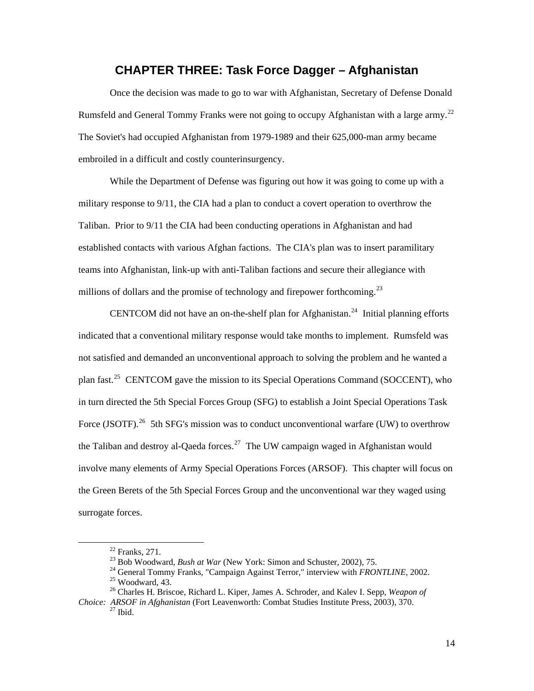# **CHAPTER THREE: Task Force Dagger – Afghanistan**

<span id="page-18-0"></span>Once the decision was made to go to war with Afghanistan, Secretary of Defense Donald Rumsfeld and General Tommy Franks were not going to occupy Afghanistan with a large army.<sup>[22](#page-18-1)</sup> The Soviet's had occupied Afghanistan from 1979-1989 and their 625,000-man army became embroiled in a difficult and costly counterinsurgency.

While the Department of Defense was figuring out how it was going to come up with a military response to 9/11, the CIA had a plan to conduct a covert operation to overthrow the Taliban. Prior to 9/11 the CIA had been conducting operations in Afghanistan and had established contacts with various Afghan factions. The CIA's plan was to insert paramilitary teams into Afghanistan, link-up with anti-Taliban factions and secure their allegiance with millions of dollars and the promise of technology and firepower forthcoming.<sup>[23](#page-18-2)</sup>

CENTCOM did not have an on-the-shelf plan for Afghanistan.<sup>[24](#page-18-3)</sup> Initial planning efforts indicated that a conventional military response would take months to implement. Rumsfeld was not satisfied and demanded an unconventional approach to solving the problem and he wanted a plan fast.<sup>[25](#page-18-4)</sup> CENTCOM gave the mission to its Special Operations Command (SOCCENT), who in turn directed the 5th Special Forces Group (SFG) to establish a Joint Special Operations Task Force (JSOTF).<sup>[26](#page-18-5)</sup> 5th SFG's mission was to conduct unconventional warfare (UW) to overthrow the Taliban and destroy al-Qaeda forces.<sup>[27](#page-18-6)</sup> The UW campaign waged in Afghanistan would involve many elements of Army Special Operations Forces (ARSOF). This chapter will focus on the Green Berets of the 5th Special Forces Group and the unconventional war they waged using surrogate forces.

<sup>&</sup>lt;sup>22</sup> Franks, 271.<br><sup>23</sup> Bob Woodward, *Bush at War* (New York: Simon and Schuster, 2002), 75.

<sup>&</sup>lt;sup>24</sup> General Tommy Franks, "Campaign Against Terror," interview with *FRONTLINE*, 2002.<br><sup>25</sup> Woodward, 43.

<sup>26</sup> Charles H. Briscoe, Richard L. Kiper, James A. Schroder, and Kalev I. Sepp, *Weapon of* 

<span id="page-18-6"></span><span id="page-18-5"></span><span id="page-18-4"></span><span id="page-18-3"></span><span id="page-18-2"></span><span id="page-18-1"></span>*Choice: ARSOF in Afghanistan* (Fort Leavenworth: Combat Studies Institute Press, 2003), 370. <sup>27</sup> Ibid.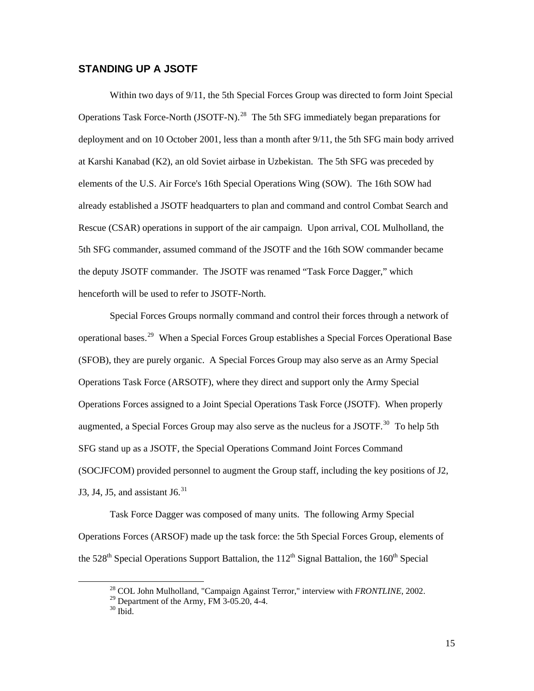#### <span id="page-19-0"></span>**STANDING UP A JSOTF**

Within two days of 9/11, the 5th Special Forces Group was directed to form Joint Special Operations Task Force-North (JSOTF-N).<sup>[28](#page-19-1)</sup> The 5th SFG immediately began preparations for deployment and on 10 October 2001, less than a month after 9/11, the 5th SFG main body arrived at Karshi Kanabad (K2), an old Soviet airbase in Uzbekistan. The 5th SFG was preceded by elements of the U.S. Air Force's 16th Special Operations Wing (SOW). The 16th SOW had already established a JSOTF headquarters to plan and command and control Combat Search and Rescue (CSAR) operations in support of the air campaign. Upon arrival, COL Mulholland, the 5th SFG commander, assumed command of the JSOTF and the 16th SOW commander became the deputy JSOTF commander. The JSOTF was renamed "Task Force Dagger," which henceforth will be used to refer to JSOTF-North.

Special Forces Groups normally command and control their forces through a network of operational bases.[29](#page-19-2) When a Special Forces Group establishes a Special Forces Operational Base (SFOB), they are purely organic. A Special Forces Group may also serve as an Army Special Operations Task Force (ARSOTF), where they direct and support only the Army Special Operations Forces assigned to a Joint Special Operations Task Force (JSOTF). When properly augmented, a Special Forces Group may also serve as the nucleus for a JSOTF.<sup>[30](#page-19-3)</sup> To help 5th SFG stand up as a JSOTF, the Special Operations Command Joint Forces Command (SOCJFCOM) provided personnel to augment the Group staff, including the key positions of J2, J3, J4, J5, and assistant J6. $31$ 

<span id="page-19-4"></span><span id="page-19-1"></span>Task Force Dagger was composed of many units. The following Army Special Operations Forces (ARSOF) made up the task force: the 5th Special Forces Group, elements of the  $528<sup>th</sup>$  Special Operations Support Battalion, the  $112<sup>th</sup>$  Signal Battalion, the  $160<sup>th</sup>$  Special

 <sup>28</sup> COL John Mulholland, "Campaign Against Terror," interview with *FRONTLINE*, 2002.

<span id="page-19-3"></span><span id="page-19-2"></span><sup>&</sup>lt;sup>29</sup> Department of the Army, FM  $3-05.20$ , 4-4.

 $30$  Ibid.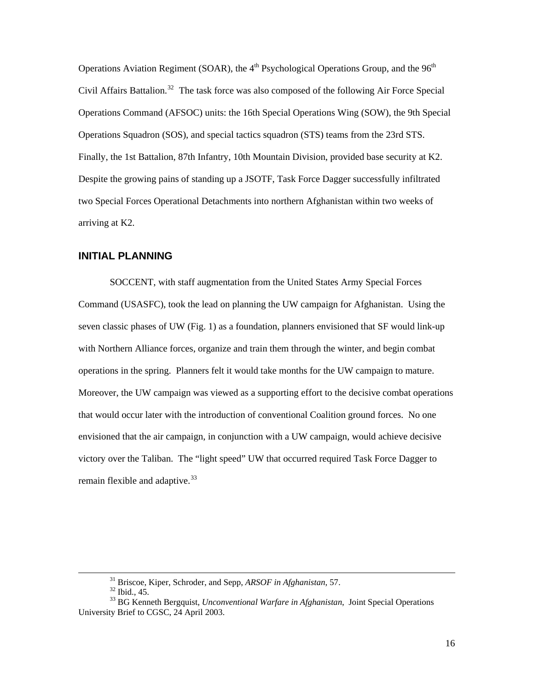<span id="page-20-0"></span>Operations Aviation Regiment (SOAR), the  $4<sup>th</sup>$  Psychological Operations Group, and the  $96<sup>th</sup>$ Civil Affairs Battalion.<sup>[32](#page-20-1)</sup> The task force was also composed of the following Air Force Special Operations Command (AFSOC) units: the 16th Special Operations Wing (SOW), the 9th Special Operations Squadron (SOS), and special tactics squadron (STS) teams from the 23rd STS. Finally, the 1st Battalion, 87th Infantry, 10th Mountain Division, provided base security at K2. Despite the growing pains of standing up a JSOTF, Task Force Dagger successfully infiltrated two Special Forces Operational Detachments into northern Afghanistan within two weeks of arriving at K2.

#### **INITIAL PLANNING**

SOCCENT, with staff augmentation from the United States Army Special Forces Command (USASFC), took the lead on planning the UW campaign for Afghanistan. Using the seven classic phases of UW (Fig. 1) as a foundation, planners envisioned that SF would link-up with Northern Alliance forces, organize and train them through the winter, and begin combat operations in the spring. Planners felt it would take months for the UW campaign to mature. Moreover, the UW campaign was viewed as a supporting effort to the decisive combat operations that would occur later with the introduction of conventional Coalition ground forces. No one envisioned that the air campaign, in conjunction with a UW campaign, would achieve decisive victory over the Taliban. The "light speed" UW that occurred required Task Force Dagger to remain flexible and adaptive.  $33$ 

<sup>&</sup>lt;sup>31</sup> Briscoe, Kiper, Schroder, and Sepp, *ARSOF in Afghanistan*, 57.<sup>32</sup> Ibid., 45.

<span id="page-20-2"></span><span id="page-20-1"></span><sup>33</sup> BG Kenneth Bergquist, *Unconventional Warfare in Afghanistan*, Joint Special Operations University Brief to CGSC, 24 April 2003.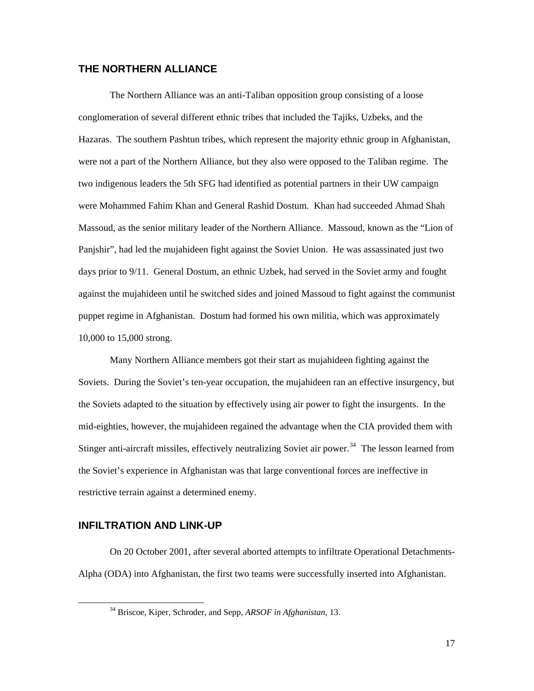#### <span id="page-21-0"></span>**THE NORTHERN ALLIANCE**

The Northern Alliance was an anti-Taliban opposition group consisting of a loose conglomeration of several different ethnic tribes that included the Tajiks, Uzbeks, and the Hazaras. The southern Pashtun tribes, which represent the majority ethnic group in Afghanistan, were not a part of the Northern Alliance, but they also were opposed to the Taliban regime. The two indigenous leaders the 5th SFG had identified as potential partners in their UW campaign were Mohammed Fahim Khan and General Rashid Dostum. Khan had succeeded Ahmad Shah Massoud, as the senior military leader of the Northern Alliance. Massoud, known as the "Lion of Panjshir", had led the mujahideen fight against the Soviet Union. He was assassinated just two days prior to 9/11. General Dostum, an ethnic Uzbek, had served in the Soviet army and fought against the mujahideen until he switched sides and joined Massoud to fight against the communist puppet regime in Afghanistan. Dostum had formed his own militia, which was approximately 10,000 to 15,000 strong.

Many Northern Alliance members got their start as mujahideen fighting against the Soviets. During the Soviet's ten-year occupation, the mujahideen ran an effective insurgency, but the Soviets adapted to the situation by effectively using air power to fight the insurgents. In the mid-eighties, however, the mujahideen regained the advantage when the CIA provided them with Stinger anti-aircraft missiles, effectively neutralizing Soviet air power.<sup>[34](#page-21-1)</sup> The lesson learned from the Soviet's experience in Afghanistan was that large conventional forces are ineffective in restrictive terrain against a determined enemy.

#### **INFILTRATION AND LINK-UP**

<span id="page-21-1"></span>On 20 October 2001, after several aborted attempts to infiltrate Operational Detachments-Alpha (ODA) into Afghanistan, the first two teams were successfully inserted into Afghanistan.

 <sup>34</sup> Briscoe, Kiper, Schroder, and Sepp, *ARSOF in Afghanistan*, 13.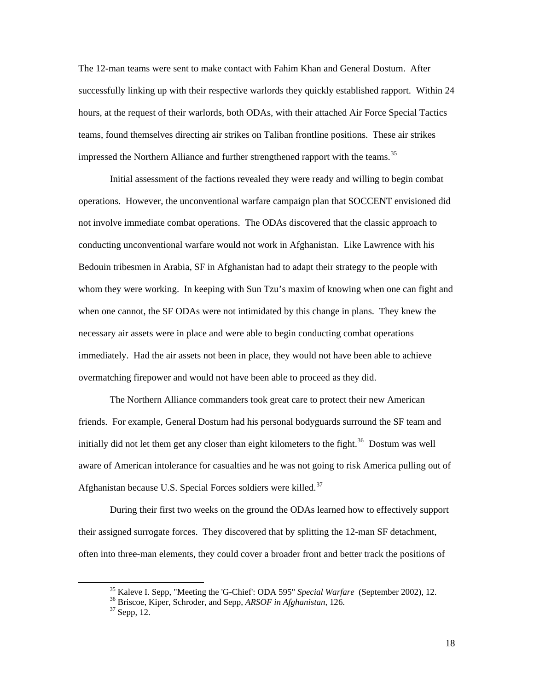The 12-man teams were sent to make contact with Fahim Khan and General Dostum. After successfully linking up with their respective warlords they quickly established rapport. Within 24 hours, at the request of their warlords, both ODAs, with their attached Air Force Special Tactics teams, found themselves directing air strikes on Taliban frontline positions. These air strikes impressed the Northern Alliance and further strengthened rapport with the teams.<sup>[35](#page-22-0)</sup>

Initial assessment of the factions revealed they were ready and willing to begin combat operations. However, the unconventional warfare campaign plan that SOCCENT envisioned did not involve immediate combat operations. The ODAs discovered that the classic approach to conducting unconventional warfare would not work in Afghanistan. Like Lawrence with his Bedouin tribesmen in Arabia, SF in Afghanistan had to adapt their strategy to the people with whom they were working. In keeping with Sun Tzu's maxim of knowing when one can fight and when one cannot, the SF ODAs were not intimidated by this change in plans. They knew the necessary air assets were in place and were able to begin conducting combat operations immediately. Had the air assets not been in place, they would not have been able to achieve overmatching firepower and would not have been able to proceed as they did.

The Northern Alliance commanders took great care to protect their new American friends. For example, General Dostum had his personal bodyguards surround the SF team and initially did not let them get any closer than eight kilometers to the fight.<sup>[36](#page-22-1)</sup> Dostum was well aware of American intolerance for casualties and he was not going to risk America pulling out of Afghanistan because U.S. Special Forces soldiers were killed.<sup>[37](#page-22-2)</sup>

During their first two weeks on the ground the ODAs learned how to effectively support their assigned surrogate forces. They discovered that by splitting the 12-man SF detachment, often into three-man elements, they could cover a broader front and better track the positions of

<sup>&</sup>lt;sup>35</sup> Kaleve I. Sepp, "Meeting the 'G-Chief': ODA 595" *Special Warfare* (September 2002), 12.<br><sup>36</sup> Briscoe, Kiper, Schroder, and Sepp, *ARSOF in Afghanistan*, 126.<br><sup>37</sup> Sepp, 12.

<span id="page-22-2"></span><span id="page-22-1"></span><span id="page-22-0"></span>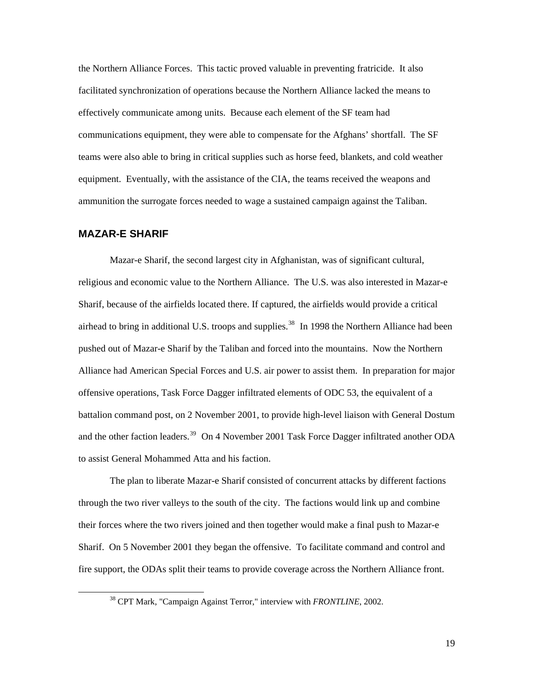<span id="page-23-0"></span>the Northern Alliance Forces. This tactic proved valuable in preventing fratricide. It also facilitated synchronization of operations because the Northern Alliance lacked the means to effectively communicate among units. Because each element of the SF team had communications equipment, they were able to compensate for the Afghans' shortfall. The SF teams were also able to bring in critical supplies such as horse feed, blankets, and cold weather equipment. Eventually, with the assistance of the CIA, the teams received the weapons and ammunition the surrogate forces needed to wage a sustained campaign against the Taliban.

#### **MAZAR-E SHARIF**

Mazar-e Sharif, the second largest city in Afghanistan, was of significant cultural, religious and economic value to the Northern Alliance. The U.S. was also interested in Mazar-e Sharif, because of the airfields located there. If captured, the airfields would provide a critical airhead to bring in additional U.S. troops and supplies.<sup>[38](#page-23-1)</sup> In 1998 the Northern Alliance had been pushed out of Mazar-e Sharif by the Taliban and forced into the mountains. Now the Northern Alliance had American Special Forces and U.S. air power to assist them. In preparation for major offensive operations, Task Force Dagger infiltrated elements of ODC 53, the equivalent of a battalion command post, on 2 November 2001, to provide high-level liaison with General Dostum and the other faction leaders.<sup>[39](#page-23-2)</sup> On 4 November 2001 Task Force Dagger infiltrated another ODA to assist General Mohammed Atta and his faction.

The plan to liberate Mazar-e Sharif consisted of concurrent attacks by different factions through the two river valleys to the south of the city. The factions would link up and combine their forces where the two rivers joined and then together would make a final push to Mazar-e Sharif. On 5 November 2001 they began the offensive. To facilitate command and control and fire support, the ODAs split their teams to provide coverage across the Northern Alliance front.

<span id="page-23-2"></span><span id="page-23-1"></span> <sup>38</sup> CPT Mark, "Campaign Against Terror," interview with *FRONTLINE*, 2002.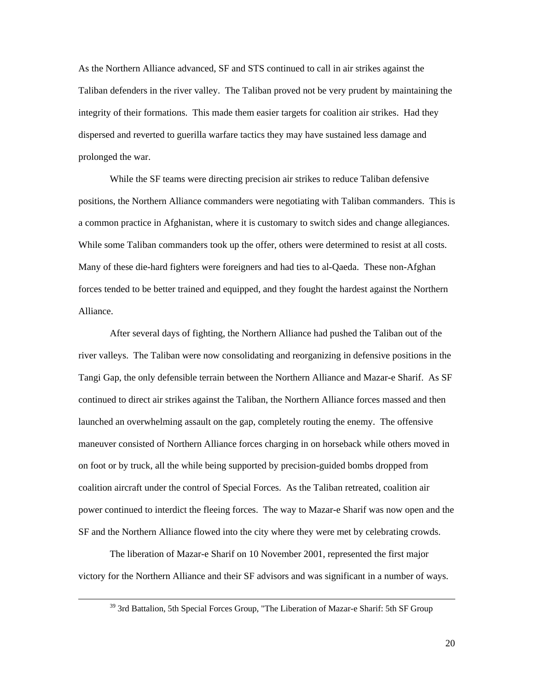As the Northern Alliance advanced, SF and STS continued to call in air strikes against the Taliban defenders in the river valley. The Taliban proved not be very prudent by maintaining the integrity of their formations. This made them easier targets for coalition air strikes. Had they dispersed and reverted to guerilla warfare tactics they may have sustained less damage and prolonged the war.

While the SF teams were directing precision air strikes to reduce Taliban defensive positions, the Northern Alliance commanders were negotiating with Taliban commanders. This is a common practice in Afghanistan, where it is customary to switch sides and change allegiances. While some Taliban commanders took up the offer, others were determined to resist at all costs. Many of these die-hard fighters were foreigners and had ties to al-Qaeda. These non-Afghan forces tended to be better trained and equipped, and they fought the hardest against the Northern Alliance.

After several days of fighting, the Northern Alliance had pushed the Taliban out of the river valleys. The Taliban were now consolidating and reorganizing in defensive positions in the Tangi Gap, the only defensible terrain between the Northern Alliance and Mazar-e Sharif. As SF continued to direct air strikes against the Taliban, the Northern Alliance forces massed and then launched an overwhelming assault on the gap, completely routing the enemy. The offensive maneuver consisted of Northern Alliance forces charging in on horseback while others moved in on foot or by truck, all the while being supported by precision-guided bombs dropped from coalition aircraft under the control of Special Forces. As the Taliban retreated, coalition air power continued to interdict the fleeing forces. The way to Mazar-e Sharif was now open and the SF and the Northern Alliance flowed into the city where they were met by celebrating crowds.

The liberation of Mazar-e Sharif on 10 November 2001, represented the first major victory for the Northern Alliance and their SF advisors and was significant in a number of ways.

<sup>&</sup>lt;sup>39</sup> 3rd Battalion, 5th Special Forces Group, "The Liberation of Mazar-e Sharif: 5th SF Group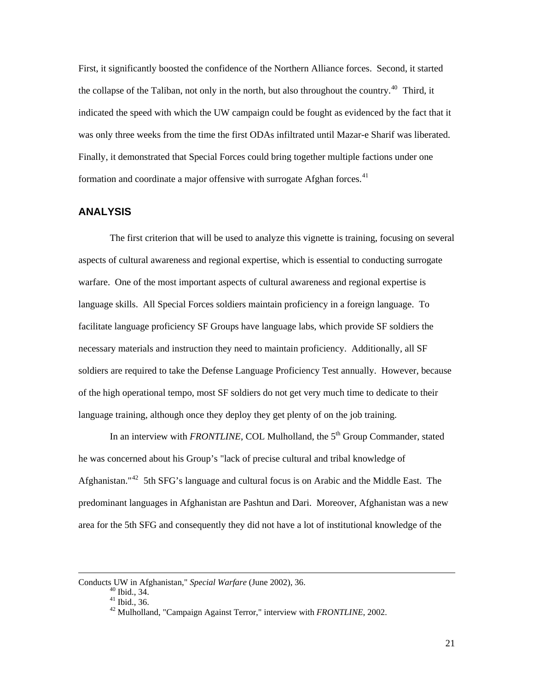<span id="page-25-0"></span>First, it significantly boosted the confidence of the Northern Alliance forces. Second, it started the collapse of the Taliban, not only in the north, but also throughout the country.<sup>[40](#page-25-1)</sup> Third, it indicated the speed with which the UW campaign could be fought as evidenced by the fact that it was only three weeks from the time the first ODAs infiltrated until Mazar-e Sharif was liberated. Finally, it demonstrated that Special Forces could bring together multiple factions under one formation and coordinate a major offensive with surrogate Afghan forces.<sup>[41](#page-25-2)</sup>

#### **ANALYSIS**

The first criterion that will be used to analyze this vignette is training, focusing on several aspects of cultural awareness and regional expertise, which is essential to conducting surrogate warfare. One of the most important aspects of cultural awareness and regional expertise is language skills. All Special Forces soldiers maintain proficiency in a foreign language. To facilitate language proficiency SF Groups have language labs, which provide SF soldiers the necessary materials and instruction they need to maintain proficiency. Additionally, all SF soldiers are required to take the Defense Language Proficiency Test annually. However, because of the high operational tempo, most SF soldiers do not get very much time to dedicate to their language training, although once they deploy they get plenty of on the job training.

In an interview with *FRONTLINE*, COL Mulholland, the 5<sup>th</sup> Group Commander, stated he was concerned about his Group's "lack of precise cultural and tribal knowledge of Afghanistan."<sup>[42](#page-25-3)</sup> 5th SFG's language and cultural focus is on Arabic and the Middle East. The predominant languages in Afghanistan are Pashtun and Dari. Moreover, Afghanistan was a new area for the 5th SFG and consequently they did not have a lot of institutional knowledge of the

<span id="page-25-3"></span><span id="page-25-2"></span><span id="page-25-1"></span>Conducts UW in Afghanistan," *Special Warfare* (June 2002), 36. 40 Ibid., 34.

<sup>41</sup> Ibid., 36.

<sup>42</sup> Mulholland, "Campaign Against Terror," interview with *FRONTLINE*, 2002.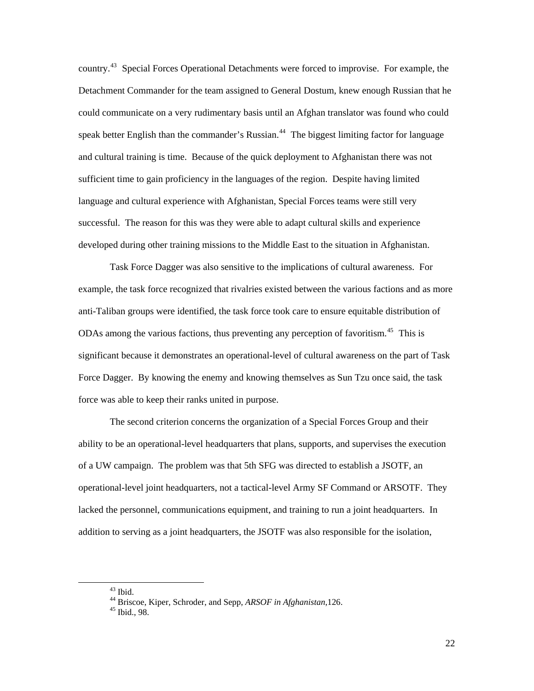country.<sup>[43](#page-26-0)</sup> Special Forces Operational Detachments were forced to improvise. For example, the Detachment Commander for the team assigned to General Dostum, knew enough Russian that he could communicate on a very rudimentary basis until an Afghan translator was found who could speak better English than the commander's Russian.<sup>[44](#page-26-1)</sup> The biggest limiting factor for language and cultural training is time. Because of the quick deployment to Afghanistan there was not sufficient time to gain proficiency in the languages of the region. Despite having limited language and cultural experience with Afghanistan, Special Forces teams were still very successful. The reason for this was they were able to adapt cultural skills and experience developed during other training missions to the Middle East to the situation in Afghanistan.

Task Force Dagger was also sensitive to the implications of cultural awareness. For example, the task force recognized that rivalries existed between the various factions and as more anti-Taliban groups were identified, the task force took care to ensure equitable distribution of ODAs among the various factions, thus preventing any perception of favoritism.<sup>[45](#page-26-2)</sup> This is significant because it demonstrates an operational-level of cultural awareness on the part of Task Force Dagger. By knowing the enemy and knowing themselves as Sun Tzu once said, the task force was able to keep their ranks united in purpose.

The second criterion concerns the organization of a Special Forces Group and their ability to be an operational-level headquarters that plans, supports, and supervises the execution of a UW campaign. The problem was that 5th SFG was directed to establish a JSOTF, an operational-level joint headquarters, not a tactical-level Army SF Command or ARSOTF. They lacked the personnel, communications equipment, and training to run a joint headquarters. In addition to serving as a joint headquarters, the JSOTF was also responsible for the isolation,

<span id="page-26-0"></span> $43$  Ibid.

<span id="page-26-1"></span><sup>44</sup> Briscoe, Kiper, Schroder, and Sepp, *ARSOF in Afghanistan*,126. 45 Ibid., 98.

<span id="page-26-2"></span>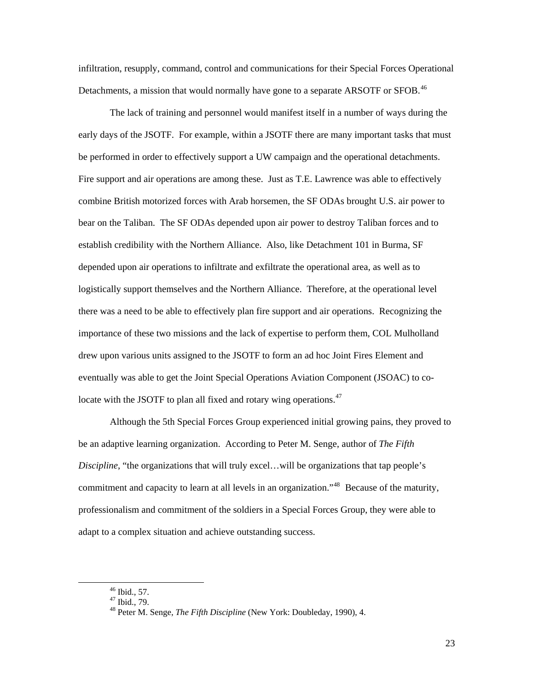infiltration, resupply, command, control and communications for their Special Forces Operational Detachments, a mission that would normally have gone to a separate ARSOTF or SFOB.<sup>[46](#page-27-0)</sup>

The lack of training and personnel would manifest itself in a number of ways during the early days of the JSOTF. For example, within a JSOTF there are many important tasks that must be performed in order to effectively support a UW campaign and the operational detachments. Fire support and air operations are among these. Just as T.E. Lawrence was able to effectively combine British motorized forces with Arab horsemen, the SF ODAs brought U.S. air power to bear on the Taliban. The SF ODAs depended upon air power to destroy Taliban forces and to establish credibility with the Northern Alliance. Also, like Detachment 101 in Burma, SF depended upon air operations to infiltrate and exfiltrate the operational area, as well as to logistically support themselves and the Northern Alliance. Therefore, at the operational level there was a need to be able to effectively plan fire support and air operations. Recognizing the importance of these two missions and the lack of expertise to perform them, COL Mulholland drew upon various units assigned to the JSOTF to form an ad hoc Joint Fires Element and eventually was able to get the Joint Special Operations Aviation Component (JSOAC) to co-locate with the JSOTF to plan all fixed and rotary wing operations.<sup>[47](#page-27-1)</sup>

Although the 5th Special Forces Group experienced initial growing pains, they proved to be an adaptive learning organization. According to Peter M. Senge, author of *The Fifth Discipline*, "the organizations that will truly excel…will be organizations that tap people's commitment and capacity to learn at all levels in an organization."<sup>[48](#page-27-2)</sup> Because of the maturity, professionalism and commitment of the soldiers in a Special Forces Group, they were able to adapt to a complex situation and achieve outstanding success.

 <sup>46</sup> Ibid., 57.

<span id="page-27-2"></span><span id="page-27-1"></span><span id="page-27-0"></span><sup>47</sup> Ibid., 79.

<sup>48</sup> Peter M. Senge, *The Fifth Discipline* (New York: Doubleday, 1990), 4.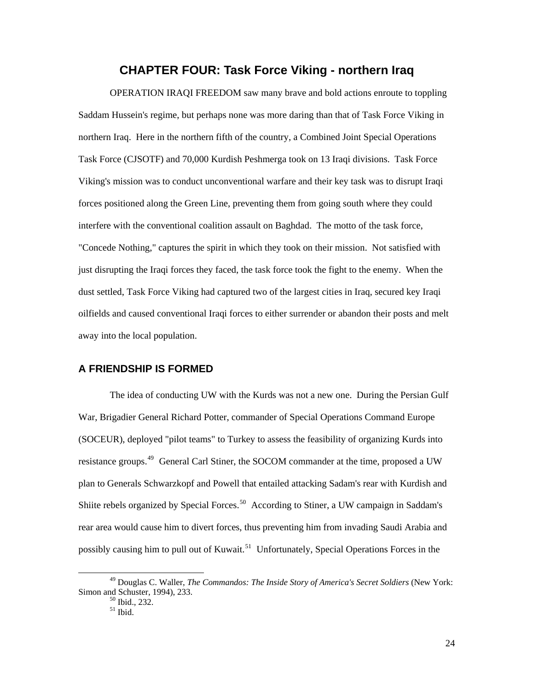## **CHAPTER FOUR: Task Force Viking - northern Iraq**

<span id="page-28-0"></span>OPERATION IRAQI FREEDOM saw many brave and bold actions enroute to toppling Saddam Hussein's regime, but perhaps none was more daring than that of Task Force Viking in northern Iraq. Here in the northern fifth of the country, a Combined Joint Special Operations Task Force (CJSOTF) and 70,000 Kurdish Peshmerga took on 13 Iraqi divisions. Task Force Viking's mission was to conduct unconventional warfare and their key task was to disrupt Iraqi forces positioned along the Green Line, preventing them from going south where they could interfere with the conventional coalition assault on Baghdad. The motto of the task force, "Concede Nothing," captures the spirit in which they took on their mission. Not satisfied with just disrupting the Iraqi forces they faced, the task force took the fight to the enemy. When the dust settled, Task Force Viking had captured two of the largest cities in Iraq, secured key Iraqi oilfields and caused conventional Iraqi forces to either surrender or abandon their posts and melt away into the local population.

#### **A FRIENDSHIP IS FORMED**

The idea of conducting UW with the Kurds was not a new one. During the Persian Gulf War, Brigadier General Richard Potter, commander of Special Operations Command Europe (SOCEUR), deployed "pilot teams" to Turkey to assess the feasibility of organizing Kurds into resistance groups.<sup>[49](#page-28-1)</sup> General Carl Stiner, the SOCOM commander at the time, proposed a UW plan to Generals Schwarzkopf and Powell that entailed attacking Sadam's rear with Kurdish and Shiite rebels organized by Special Forces.<sup>[50](#page-28-2)</sup> According to Stiner, a UW campaign in Saddam's rear area would cause him to divert forces, thus preventing him from invading Saudi Arabia and possibly causing him to pull out of Kuwait.<sup>[51](#page-28-3)</sup> Unfortunately, Special Operations Forces in the

<span id="page-28-3"></span><span id="page-28-2"></span><span id="page-28-1"></span> <sup>49</sup> Douglas C. Waller, *The Commandos: The Inside Story of America's Secret Soldiers* (New York: Simon and Schuster, 1994), 233.

 $\frac{50}{51}$  Ibid., 232.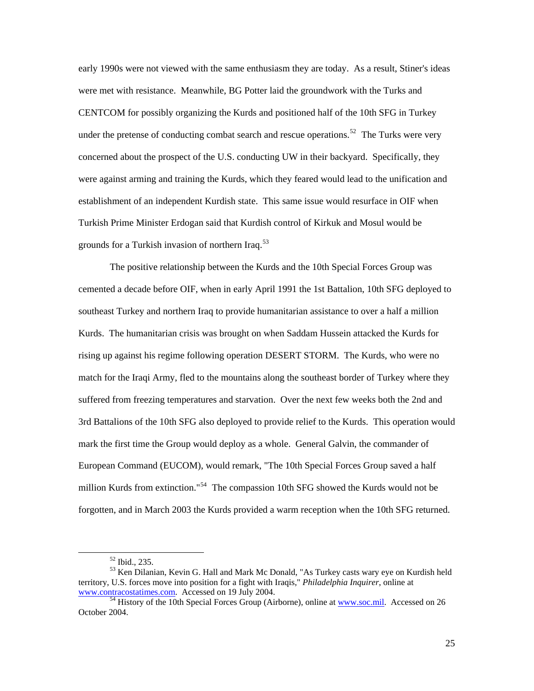early 1990s were not viewed with the same enthusiasm they are today. As a result, Stiner's ideas were met with resistance. Meanwhile, BG Potter laid the groundwork with the Turks and CENTCOM for possibly organizing the Kurds and positioned half of the 10th SFG in Turkey under the pretense of conducting combat search and rescue operations.<sup>[52](#page-29-0)</sup> The Turks were very concerned about the prospect of the U.S. conducting UW in their backyard. Specifically, they were against arming and training the Kurds, which they feared would lead to the unification and establishment of an independent Kurdish state. This same issue would resurface in OIF when Turkish Prime Minister Erdogan said that Kurdish control of Kirkuk and Mosul would be grounds for a Turkish invasion of northern Iraq.<sup>[53](#page-29-1)</sup>

The positive relationship between the Kurds and the 10th Special Forces Group was cemented a decade before OIF, when in early April 1991 the 1st Battalion, 10th SFG deployed to southeast Turkey and northern Iraq to provide humanitarian assistance to over a half a million Kurds. The humanitarian crisis was brought on when Saddam Hussein attacked the Kurds for rising up against his regime following operation DESERT STORM. The Kurds, who were no match for the Iraqi Army, fled to the mountains along the southeast border of Turkey where they suffered from freezing temperatures and starvation. Over the next few weeks both the 2nd and 3rd Battalions of the 10th SFG also deployed to provide relief to the Kurds. This operation would mark the first time the Group would deploy as a whole. General Galvin, the commander of European Command (EUCOM), would remark, "The 10th Special Forces Group saved a half million Kurds from extinction."<sup>[54](#page-29-2)</sup> The compassion 10th SFG showed the Kurds would not be forgotten, and in March 2003 the Kurds provided a warm reception when the 10th SFG returned.

 <sup>52</sup> Ibid., 235.

<span id="page-29-1"></span><span id="page-29-0"></span><sup>53</sup> Ken Dilanian, Kevin G. Hall and Mark Mc Donald, "As Turkey casts wary eye on Kurdish held territory, U.S. forces move into position for a fight with Iraqis," *Philadelphia Inquirer*, online at [www.contracostatimes.com](http://www.contracostatimes.com/). Accessed on 19 July 2004. [54](http://www.contracostatimes.com/) History of the 10th Special Forces Group (Airborne), online at [www.soc.mil.](http://www.soc.mil/) Accessed on 26

<span id="page-29-2"></span>October 2004.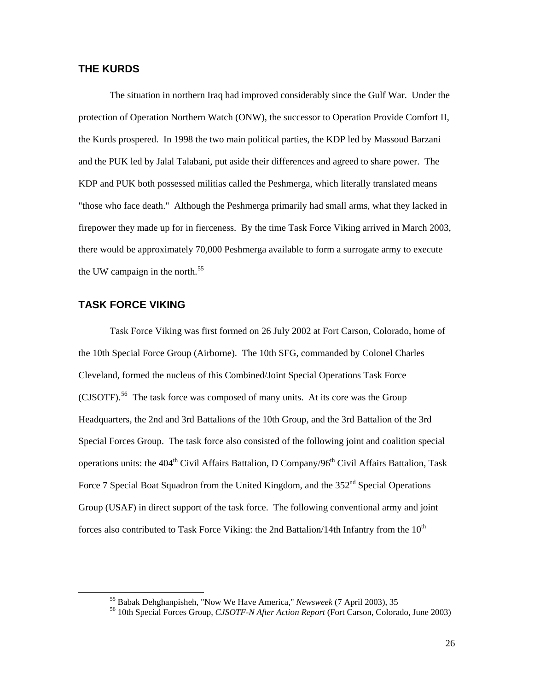### <span id="page-30-0"></span>**THE KURDS**

The situation in northern Iraq had improved considerably since the Gulf War. Under the protection of Operation Northern Watch (ONW), the successor to Operation Provide Comfort II, the Kurds prospered. In 1998 the two main political parties, the KDP led by Massoud Barzani and the PUK led by Jalal Talabani, put aside their differences and agreed to share power. The KDP and PUK both possessed militias called the Peshmerga, which literally translated means "those who face death." Although the Peshmerga primarily had small arms, what they lacked in firepower they made up for in fierceness. By the time Task Force Viking arrived in March 2003, there would be approximately 70,000 Peshmerga available to form a surrogate army to execute the UW campaign in the north.<sup>[55](#page-30-1)</sup>

### **TASK FORCE VIKING**

Task Force Viking was first formed on 26 July 2002 at Fort Carson, Colorado, home of the 10th Special Force Group (Airborne). The 10th SFG, commanded by Colonel Charles Cleveland, formed the nucleus of this Combined/Joint Special Operations Task Force  $(CISOTF)$ .<sup>[56](#page-30-2)</sup> The task force was composed of many units. At its core was the Group Headquarters, the 2nd and 3rd Battalions of the 10th Group, and the 3rd Battalion of the 3rd Special Forces Group. The task force also consisted of the following joint and coalition special operations units: the 404<sup>th</sup> Civil Affairs Battalion, D Company/96<sup>th</sup> Civil Affairs Battalion, Task Force 7 Special Boat Squadron from the United Kingdom, and the  $352<sup>nd</sup>$  Special Operations Group (USAF) in direct support of the task force. The following conventional army and joint forces also contributed to Task Force Viking: the 2nd Battalion/14th Infantry from the  $10<sup>th</sup>$ 

<span id="page-30-2"></span><span id="page-30-1"></span><sup>&</sup>lt;sup>55</sup> Babak Dehghanpisheh, "Now We Have America," *Newsweek* (7 April 2003), 35<br><sup>56</sup> 10th Special Forces Group, *CJSOTF-N After Action Report* (Fort Carson, Colorado, June 2003)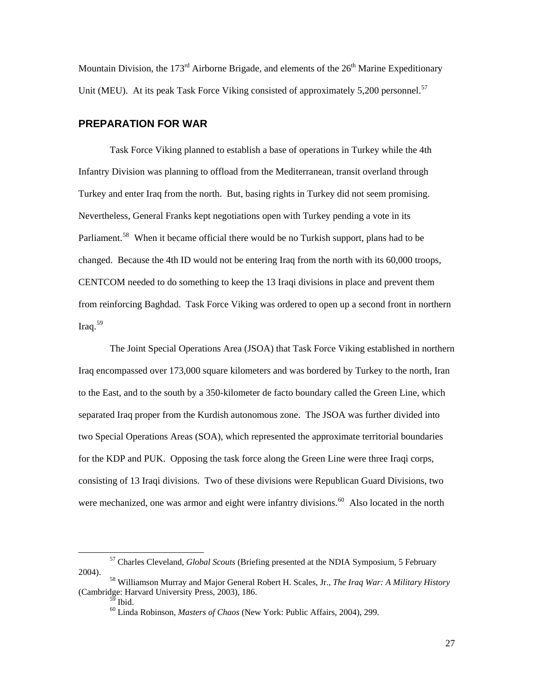<span id="page-31-0"></span>Mountain Division, the 173<sup>rd</sup> Airborne Brigade, and elements of the  $26<sup>th</sup>$  Marine Expeditionary Unit (MEU). At its peak Task Force Viking consisted of approximately 5,200 personnel.<sup>[57](#page-31-1)</sup>

#### **PREPARATION FOR WAR**

Task Force Viking planned to establish a base of operations in Turkey while the 4th Infantry Division was planning to offload from the Mediterranean, transit overland through Turkey and enter Iraq from the north. But, basing rights in Turkey did not seem promising. Nevertheless, General Franks kept negotiations open with Turkey pending a vote in its Parliament.<sup>[58](#page-31-2)</sup> When it became official there would be no Turkish support, plans had to be changed. Because the 4th ID would not be entering Iraq from the north with its 60,000 troops, CENTCOM needed to do something to keep the 13 Iraqi divisions in place and prevent them from reinforcing Baghdad. Task Force Viking was ordered to open up a second front in northern Iraq.[59](#page-31-3)

The Joint Special Operations Area (JSOA) that Task Force Viking established in northern Iraq encompassed over 173,000 square kilometers and was bordered by Turkey to the north, Iran to the East, and to the south by a 350-kilometer de facto boundary called the Green Line, which separated Iraq proper from the Kurdish autonomous zone. The JSOA was further divided into two Special Operations Areas (SOA), which represented the approximate territorial boundaries for the KDP and PUK. Opposing the task force along the Green Line were three Iraqi corps, consisting of 13 Iraqi divisions. Two of these divisions were Republican Guard Divisions, two were mechanized, one was armor and eight were infantry divisions.<sup>[60](#page-31-4)</sup> Also located in the north

<span id="page-31-1"></span> <sup>57</sup> Charles Cleveland, *Global Scouts* (Briefing presented at the NDIA Symposium, 5 February 2004). 58 Williamson Murray and Major General Robert H. Scales, Jr.*, The Iraq War: A Military History*

<span id="page-31-4"></span><span id="page-31-3"></span><span id="page-31-2"></span><sup>(</sup>Cambridge: Harvard University Press, 2003), 186.

 $59$  Ibid.

<sup>60</sup> Linda Robinson, *Masters of Chaos* (New York: Public Affairs, 2004), 299.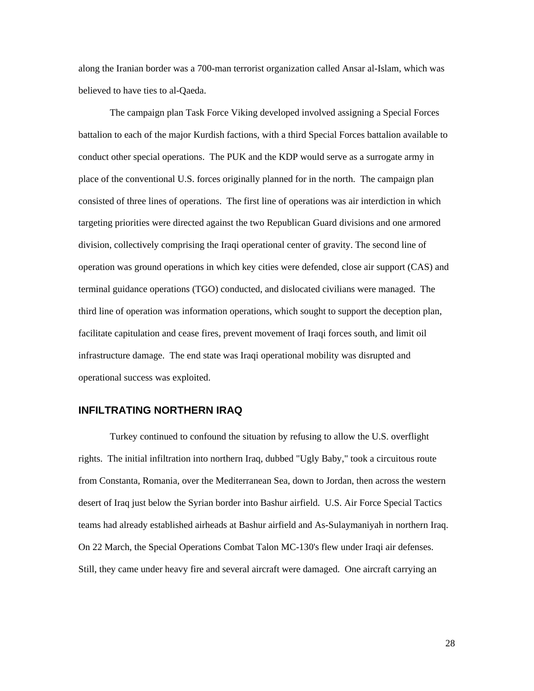<span id="page-32-0"></span>along the Iranian border was a 700-man terrorist organization called Ansar al-Islam, which was believed to have ties to al-Qaeda.

The campaign plan Task Force Viking developed involved assigning a Special Forces battalion to each of the major Kurdish factions, with a third Special Forces battalion available to conduct other special operations. The PUK and the KDP would serve as a surrogate army in place of the conventional U.S. forces originally planned for in the north. The campaign plan consisted of three lines of operations. The first line of operations was air interdiction in which targeting priorities were directed against the two Republican Guard divisions and one armored division, collectively comprising the Iraqi operational center of gravity. The second line of operation was ground operations in which key cities were defended, close air support (CAS) and terminal guidance operations (TGO) conducted, and dislocated civilians were managed. The third line of operation was information operations, which sought to support the deception plan, facilitate capitulation and cease fires, prevent movement of Iraqi forces south, and limit oil infrastructure damage. The end state was Iraqi operational mobility was disrupted and operational success was exploited.

#### **INFILTRATING NORTHERN IRAQ**

Turkey continued to confound the situation by refusing to allow the U.S. overflight rights. The initial infiltration into northern Iraq, dubbed "Ugly Baby," took a circuitous route from Constanta, Romania, over the Mediterranean Sea, down to Jordan, then across the western desert of Iraq just below the Syrian border into Bashur airfield. U.S. Air Force Special Tactics teams had already established airheads at Bashur airfield and As-Sulaymaniyah in northern Iraq. On 22 March, the Special Operations Combat Talon MC-130's flew under Iraqi air defenses. Still, they came under heavy fire and several aircraft were damaged. One aircraft carrying an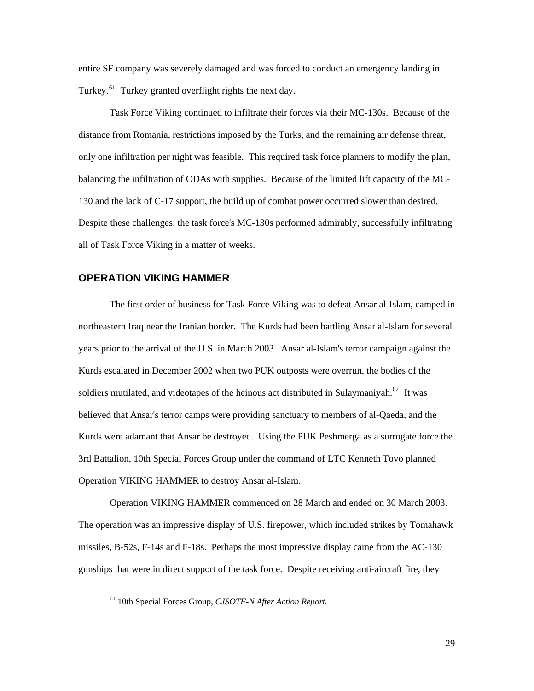<span id="page-33-0"></span>entire SF company was severely damaged and was forced to conduct an emergency landing in Turkey.<sup>[61](#page-33-1)</sup> Turkey granted overflight rights the next day.

Task Force Viking continued to infiltrate their forces via their MC-130s. Because of the distance from Romania, restrictions imposed by the Turks, and the remaining air defense threat, only one infiltration per night was feasible. This required task force planners to modify the plan, balancing the infiltration of ODAs with supplies. Because of the limited lift capacity of the MC-130 and the lack of C-17 support, the build up of combat power occurred slower than desired. Despite these challenges, the task force's MC-130s performed admirably, successfully infiltrating all of Task Force Viking in a matter of weeks.

#### **OPERATION VIKING HAMMER**

The first order of business for Task Force Viking was to defeat Ansar al-Islam, camped in northeastern Iraq near the Iranian border. The Kurds had been battling Ansar al-Islam for several years prior to the arrival of the U.S. in March 2003. Ansar al-Islam's terror campaign against the Kurds escalated in December 2002 when two PUK outposts were overrun, the bodies of the soldiers mutilated, and videotapes of the heinous act distributed in Sulaymaniyah.<sup>[62](#page-33-2)</sup> It was believed that Ansar's terror camps were providing sanctuary to members of al-Qaeda, and the Kurds were adamant that Ansar be destroyed. Using the PUK Peshmerga as a surrogate force the 3rd Battalion, 10th Special Forces Group under the command of LTC Kenneth Tovo planned Operation VIKING HAMMER to destroy Ansar al-Islam.

<span id="page-33-2"></span>Operation VIKING HAMMER commenced on 28 March and ended on 30 March 2003. The operation was an impressive display of U.S. firepower, which included strikes by Tomahawk missiles, B-52s, F-14s and F-18s. Perhaps the most impressive display came from the AC-130 gunships that were in direct support of the task force. Despite receiving anti-aircraft fire, they

<span id="page-33-1"></span> <sup>61 10</sup>th Special Forces Group, *CJSOTF-N After Action Report.*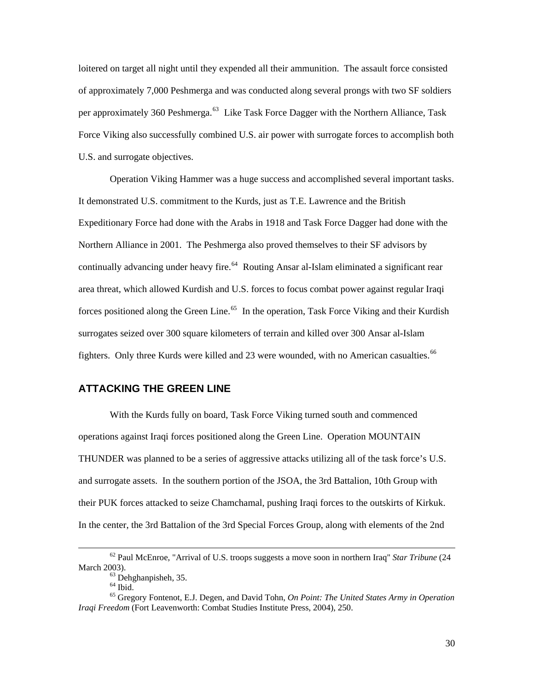<span id="page-34-0"></span>loitered on target all night until they expended all their ammunition. The assault force consisted of approximately 7,000 Peshmerga and was conducted along several prongs with two SF soldiers per approximately 360 Peshmerga.<sup>[63](#page-34-1)</sup> Like Task Force Dagger with the Northern Alliance, Task Force Viking also successfully combined U.S. air power with surrogate forces to accomplish both U.S. and surrogate objectives.

Operation Viking Hammer was a huge success and accomplished several important tasks. It demonstrated U.S. commitment to the Kurds, just as T.E. Lawrence and the British Expeditionary Force had done with the Arabs in 1918 and Task Force Dagger had done with the Northern Alliance in 2001. The Peshmerga also proved themselves to their SF advisors by continually advancing under heavy fire.<sup>[64](#page-34-2)</sup> Routing Ansar al-Islam eliminated a significant rear area threat, which allowed Kurdish and U.S. forces to focus combat power against regular Iraqi forces positioned along the Green Line.<sup>[65](#page-34-3)</sup> In the operation, Task Force Viking and their Kurdish surrogates seized over 300 square kilometers of terrain and killed over 300 Ansar al-Islam fighters. Only three Kurds were killed and 23 were wounded, with no American casualties.<sup>[66](#page-34-4)</sup>

#### **ATTACKING THE GREEN LINE**

With the Kurds fully on board, Task Force Viking turned south and commenced operations against Iraqi forces positioned along the Green Line. Operation MOUNTAIN THUNDER was planned to be a series of aggressive attacks utilizing all of the task force's U.S. and surrogate assets. In the southern portion of the JSOA, the 3rd Battalion, 10th Group with their PUK forces attacked to seize Chamchamal, pushing Iraqi forces to the outskirts of Kirkuk. In the center, the 3rd Battalion of the 3rd Special Forces Group, along with elements of the 2nd

 <sup>62</sup> Paul McEnroe, "Arrival of U.S. troops suggests a move soon in northern Iraq" *Star Tribune* (24 March 2003).<br><sup>63</sup> Dehghanpisheh, 35.

 $64$  Ibid.

<span id="page-34-4"></span><span id="page-34-3"></span><span id="page-34-2"></span><span id="page-34-1"></span><sup>65</sup> Gregory Fontenot, E.J. Degen, and David Tohn, *On Point: The United States Army in Operation Iraqi Freedom* (Fort Leavenworth: Combat Studies Institute Press, 2004), 250.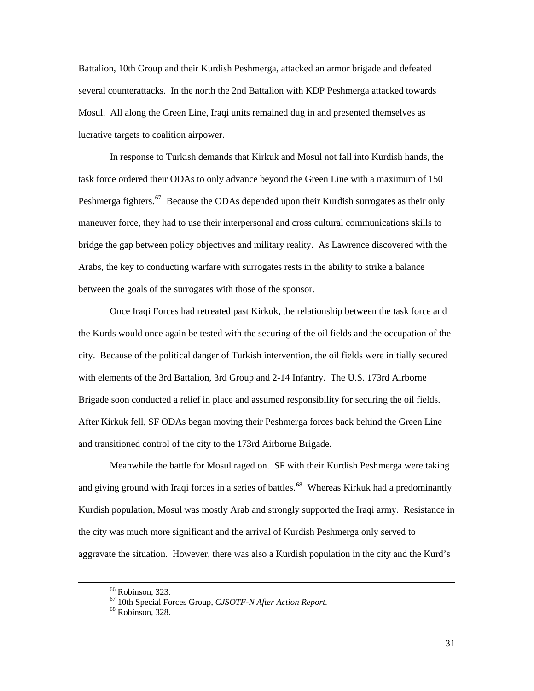Battalion, 10th Group and their Kurdish Peshmerga, attacked an armor brigade and defeated several counterattacks. In the north the 2nd Battalion with KDP Peshmerga attacked towards Mosul. All along the Green Line, Iraqi units remained dug in and presented themselves as lucrative targets to coalition airpower.

In response to Turkish demands that Kirkuk and Mosul not fall into Kurdish hands, the task force ordered their ODAs to only advance beyond the Green Line with a maximum of 150 Peshmerga fighters.<sup>[67](#page-35-0)</sup> Because the ODAs depended upon their Kurdish surrogates as their only maneuver force, they had to use their interpersonal and cross cultural communications skills to bridge the gap between policy objectives and military reality. As Lawrence discovered with the Arabs, the key to conducting warfare with surrogates rests in the ability to strike a balance between the goals of the surrogates with those of the sponsor.

Once Iraqi Forces had retreated past Kirkuk, the relationship between the task force and the Kurds would once again be tested with the securing of the oil fields and the occupation of the city. Because of the political danger of Turkish intervention, the oil fields were initially secured with elements of the 3rd Battalion, 3rd Group and 2-14 Infantry. The U.S. 173rd Airborne Brigade soon conducted a relief in place and assumed responsibility for securing the oil fields. After Kirkuk fell, SF ODAs began moving their Peshmerga forces back behind the Green Line and transitioned control of the city to the 173rd Airborne Brigade.

Meanwhile the battle for Mosul raged on. SF with their Kurdish Peshmerga were taking and giving ground with Iraqi forces in a series of battles.<sup>[68](#page-35-1)</sup> Whereas Kirkuk had a predominantly Kurdish population, Mosul was mostly Arab and strongly supported the Iraqi army. Resistance in the city was much more significant and the arrival of Kurdish Peshmerga only served to aggravate the situation. However, there was also a Kurdish population in the city and the Kurd's

 $66$  Robinson, 323.

<span id="page-35-1"></span><span id="page-35-0"></span><sup>67 10</sup>th Special Forces Group, *CJSOTF-N After Action Report*. 68 Robinson, 328.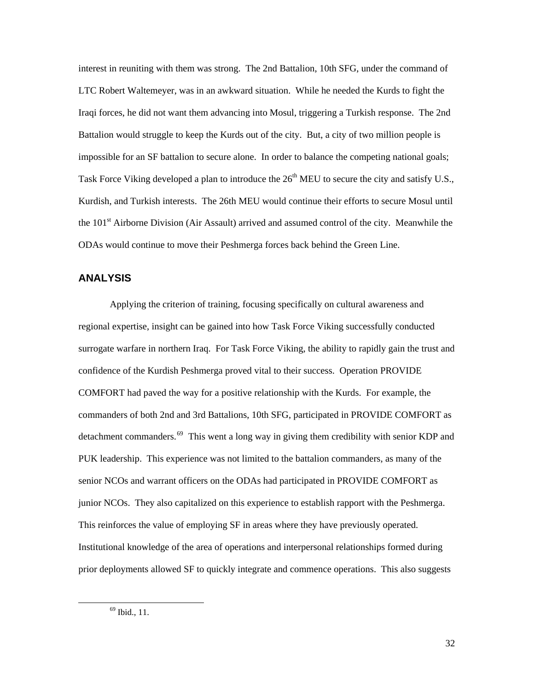<span id="page-36-0"></span>interest in reuniting with them was strong. The 2nd Battalion, 10th SFG, under the command of LTC Robert Waltemeyer, was in an awkward situation. While he needed the Kurds to fight the Iraqi forces, he did not want them advancing into Mosul, triggering a Turkish response. The 2nd Battalion would struggle to keep the Kurds out of the city. But, a city of two million people is impossible for an SF battalion to secure alone. In order to balance the competing national goals; Task Force Viking developed a plan to introduce the  $26<sup>th</sup>$  MEU to secure the city and satisfy U.S., Kurdish, and Turkish interests. The 26th MEU would continue their efforts to secure Mosul until the 101<sup>st</sup> Airborne Division (Air Assault) arrived and assumed control of the city. Meanwhile the ODAs would continue to move their Peshmerga forces back behind the Green Line.

#### **ANALYSIS**

<span id="page-36-1"></span>Applying the criterion of training, focusing specifically on cultural awareness and regional expertise, insight can be gained into how Task Force Viking successfully conducted surrogate warfare in northern Iraq. For Task Force Viking, the ability to rapidly gain the trust and confidence of the Kurdish Peshmerga proved vital to their success. Operation PROVIDE COMFORT had paved the way for a positive relationship with the Kurds. For example, the commanders of both 2nd and 3rd Battalions, 10th SFG, participated in PROVIDE COMFORT as detachment commanders.<sup>[69](#page-36-1)</sup> This went a long way in giving them credibility with senior KDP and PUK leadership. This experience was not limited to the battalion commanders, as many of the senior NCOs and warrant officers on the ODAs had participated in PROVIDE COMFORT as junior NCOs. They also capitalized on this experience to establish rapport with the Peshmerga. This reinforces the value of employing SF in areas where they have previously operated. Institutional knowledge of the area of operations and interpersonal relationships formed during prior deployments allowed SF to quickly integrate and commence operations. This also suggests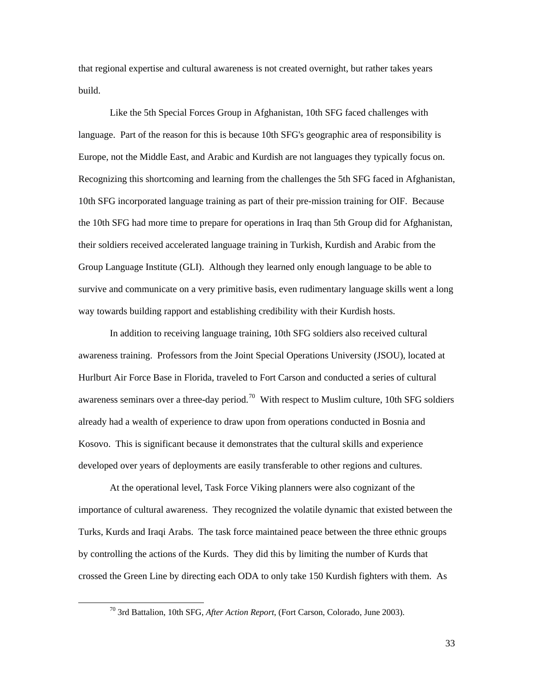that regional expertise and cultural awareness is not created overnight, but rather takes years build.

Like the 5th Special Forces Group in Afghanistan, 10th SFG faced challenges with language. Part of the reason for this is because 10th SFG's geographic area of responsibility is Europe, not the Middle East, and Arabic and Kurdish are not languages they typically focus on. Recognizing this shortcoming and learning from the challenges the 5th SFG faced in Afghanistan, 10th SFG incorporated language training as part of their pre-mission training for OIF. Because the 10th SFG had more time to prepare for operations in Iraq than 5th Group did for Afghanistan, their soldiers received accelerated language training in Turkish, Kurdish and Arabic from the Group Language Institute (GLI). Although they learned only enough language to be able to survive and communicate on a very primitive basis, even rudimentary language skills went a long way towards building rapport and establishing credibility with their Kurdish hosts.

In addition to receiving language training, 10th SFG soldiers also received cultural awareness training. Professors from the Joint Special Operations University (JSOU), located at Hurlburt Air Force Base in Florida, traveled to Fort Carson and conducted a series of cultural awareness seminars over a three-day period.<sup>[70](#page-37-0)</sup> With respect to Muslim culture, 10th SFG soldiers already had a wealth of experience to draw upon from operations conducted in Bosnia and Kosovo. This is significant because it demonstrates that the cultural skills and experience developed over years of deployments are easily transferable to other regions and cultures.

At the operational level, Task Force Viking planners were also cognizant of the importance of cultural awareness. They recognized the volatile dynamic that existed between the Turks, Kurds and Iraqi Arabs. The task force maintained peace between the three ethnic groups by controlling the actions of the Kurds. They did this by limiting the number of Kurds that crossed the Green Line by directing each ODA to only take 150 Kurdish fighters with them. As

<span id="page-37-0"></span> <sup>70 3</sup>rd Battalion, 10th SFG, *After Action Report*, (Fort Carson, Colorado, June 2003).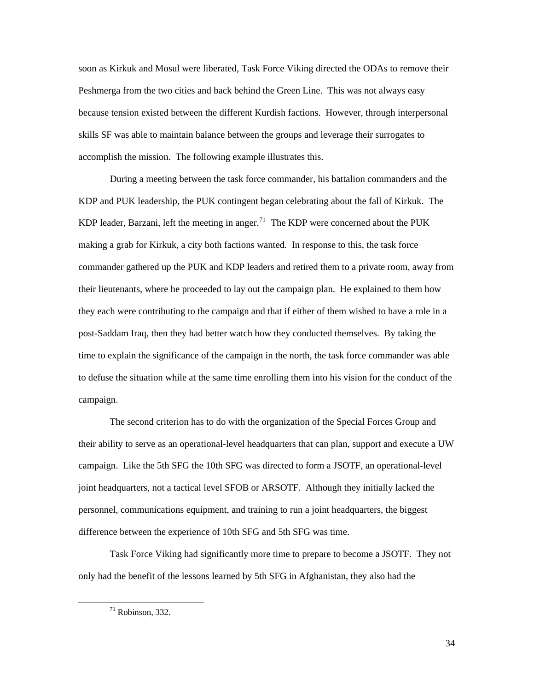soon as Kirkuk and Mosul were liberated, Task Force Viking directed the ODAs to remove their Peshmerga from the two cities and back behind the Green Line. This was not always easy because tension existed between the different Kurdish factions. However, through interpersonal skills SF was able to maintain balance between the groups and leverage their surrogates to accomplish the mission. The following example illustrates this.

During a meeting between the task force commander, his battalion commanders and the KDP and PUK leadership, the PUK contingent began celebrating about the fall of Kirkuk. The KDP leader, Barzani, left the meeting in anger.<sup>[71](#page-38-0)</sup> The KDP were concerned about the PUK making a grab for Kirkuk, a city both factions wanted. In response to this, the task force commander gathered up the PUK and KDP leaders and retired them to a private room, away from their lieutenants, where he proceeded to lay out the campaign plan. He explained to them how they each were contributing to the campaign and that if either of them wished to have a role in a post-Saddam Iraq, then they had better watch how they conducted themselves. By taking the time to explain the significance of the campaign in the north, the task force commander was able to defuse the situation while at the same time enrolling them into his vision for the conduct of the campaign.

The second criterion has to do with the organization of the Special Forces Group and their ability to serve as an operational-level headquarters that can plan, support and execute a UW campaign. Like the 5th SFG the 10th SFG was directed to form a JSOTF, an operational-level joint headquarters, not a tactical level SFOB or ARSOTF. Although they initially lacked the personnel, communications equipment, and training to run a joint headquarters, the biggest difference between the experience of 10th SFG and 5th SFG was time.

<span id="page-38-0"></span>Task Force Viking had significantly more time to prepare to become a JSOTF. They not only had the benefit of the lessons learned by 5th SFG in Afghanistan, they also had the

 $71$  Robinson, 332.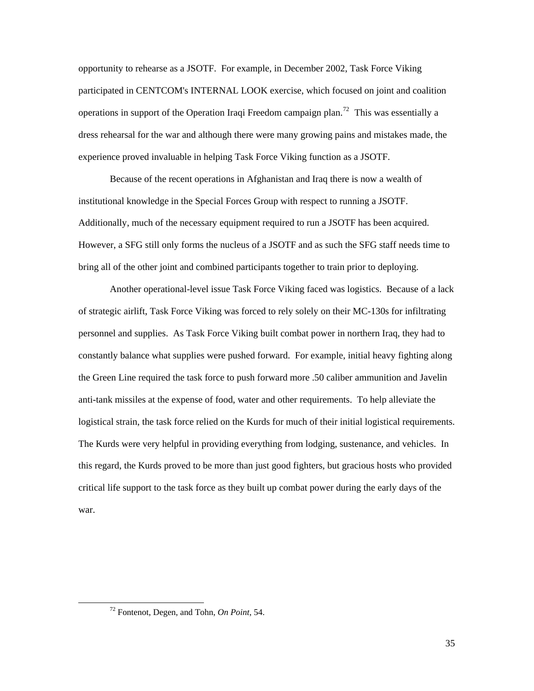opportunity to rehearse as a JSOTF. For example, in December 2002, Task Force Viking participated in CENTCOM's INTERNAL LOOK exercise, which focused on joint and coalition operations in support of the Operation Iraqi Freedom campaign plan.<sup>[72](#page-39-0)</sup> This was essentially a dress rehearsal for the war and although there were many growing pains and mistakes made, the experience proved invaluable in helping Task Force Viking function as a JSOTF.

Because of the recent operations in Afghanistan and Iraq there is now a wealth of institutional knowledge in the Special Forces Group with respect to running a JSOTF. Additionally, much of the necessary equipment required to run a JSOTF has been acquired. However, a SFG still only forms the nucleus of a JSOTF and as such the SFG staff needs time to bring all of the other joint and combined participants together to train prior to deploying.

Another operational-level issue Task Force Viking faced was logistics. Because of a lack of strategic airlift, Task Force Viking was forced to rely solely on their MC-130s for infiltrating personnel and supplies. As Task Force Viking built combat power in northern Iraq, they had to constantly balance what supplies were pushed forward. For example, initial heavy fighting along the Green Line required the task force to push forward more .50 caliber ammunition and Javelin anti-tank missiles at the expense of food, water and other requirements. To help alleviate the logistical strain, the task force relied on the Kurds for much of their initial logistical requirements. The Kurds were very helpful in providing everything from lodging, sustenance, and vehicles. In this regard, the Kurds proved to be more than just good fighters, but gracious hosts who provided critical life support to the task force as they built up combat power during the early days of the war.

<span id="page-39-0"></span> <sup>72</sup> Fontenot, Degen, and Tohn, *On Point*, 54.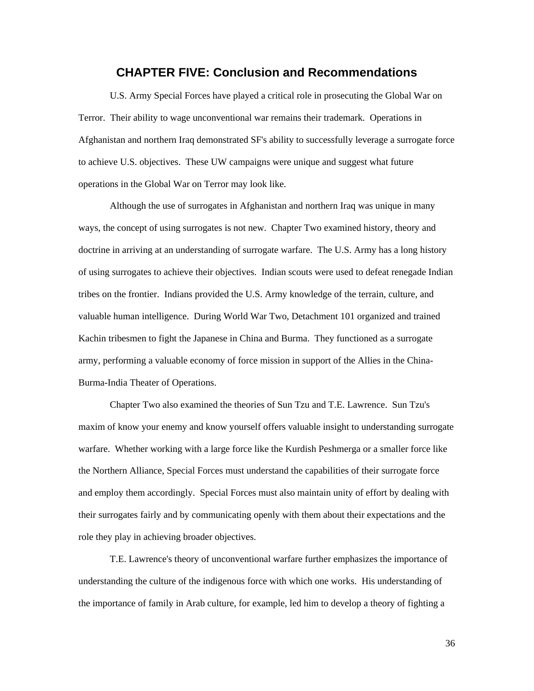## **CHAPTER FIVE: Conclusion and Recommendations**

<span id="page-40-0"></span>U.S. Army Special Forces have played a critical role in prosecuting the Global War on Terror. Their ability to wage unconventional war remains their trademark. Operations in Afghanistan and northern Iraq demonstrated SF's ability to successfully leverage a surrogate force to achieve U.S. objectives. These UW campaigns were unique and suggest what future operations in the Global War on Terror may look like.

Although the use of surrogates in Afghanistan and northern Iraq was unique in many ways, the concept of using surrogates is not new. Chapter Two examined history, theory and doctrine in arriving at an understanding of surrogate warfare. The U.S. Army has a long history of using surrogates to achieve their objectives. Indian scouts were used to defeat renegade Indian tribes on the frontier. Indians provided the U.S. Army knowledge of the terrain, culture, and valuable human intelligence. During World War Two, Detachment 101 organized and trained Kachin tribesmen to fight the Japanese in China and Burma. They functioned as a surrogate army, performing a valuable economy of force mission in support of the Allies in the China-Burma-India Theater of Operations.

Chapter Two also examined the theories of Sun Tzu and T.E. Lawrence. Sun Tzu's maxim of know your enemy and know yourself offers valuable insight to understanding surrogate warfare. Whether working with a large force like the Kurdish Peshmerga or a smaller force like the Northern Alliance, Special Forces must understand the capabilities of their surrogate force and employ them accordingly. Special Forces must also maintain unity of effort by dealing with their surrogates fairly and by communicating openly with them about their expectations and the role they play in achieving broader objectives.

T.E. Lawrence's theory of unconventional warfare further emphasizes the importance of understanding the culture of the indigenous force with which one works. His understanding of the importance of family in Arab culture, for example, led him to develop a theory of fighting a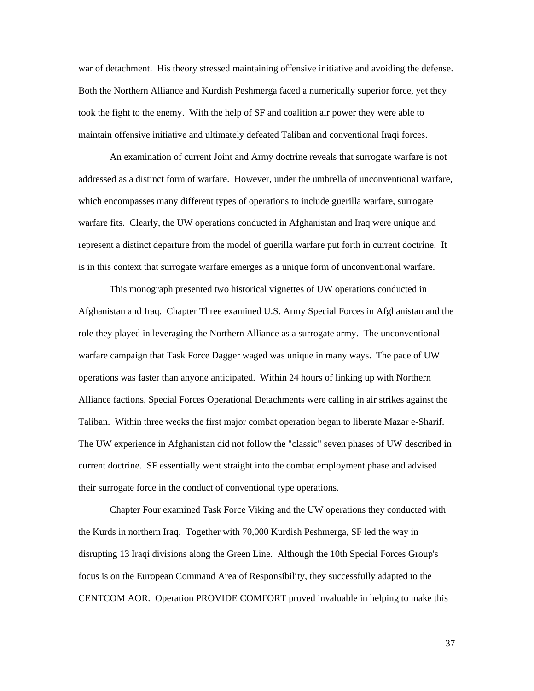war of detachment. His theory stressed maintaining offensive initiative and avoiding the defense. Both the Northern Alliance and Kurdish Peshmerga faced a numerically superior force, yet they took the fight to the enemy. With the help of SF and coalition air power they were able to maintain offensive initiative and ultimately defeated Taliban and conventional Iraqi forces.

An examination of current Joint and Army doctrine reveals that surrogate warfare is not addressed as a distinct form of warfare. However, under the umbrella of unconventional warfare, which encompasses many different types of operations to include guerilla warfare, surrogate warfare fits. Clearly, the UW operations conducted in Afghanistan and Iraq were unique and represent a distinct departure from the model of guerilla warfare put forth in current doctrine. It is in this context that surrogate warfare emerges as a unique form of unconventional warfare.

This monograph presented two historical vignettes of UW operations conducted in Afghanistan and Iraq. Chapter Three examined U.S. Army Special Forces in Afghanistan and the role they played in leveraging the Northern Alliance as a surrogate army. The unconventional warfare campaign that Task Force Dagger waged was unique in many ways. The pace of UW operations was faster than anyone anticipated. Within 24 hours of linking up with Northern Alliance factions, Special Forces Operational Detachments were calling in air strikes against the Taliban. Within three weeks the first major combat operation began to liberate Mazar e-Sharif. The UW experience in Afghanistan did not follow the "classic" seven phases of UW described in current doctrine. SF essentially went straight into the combat employment phase and advised their surrogate force in the conduct of conventional type operations.

Chapter Four examined Task Force Viking and the UW operations they conducted with the Kurds in northern Iraq. Together with 70,000 Kurdish Peshmerga, SF led the way in disrupting 13 Iraqi divisions along the Green Line. Although the 10th Special Forces Group's focus is on the European Command Area of Responsibility, they successfully adapted to the CENTCOM AOR. Operation PROVIDE COMFORT proved invaluable in helping to make this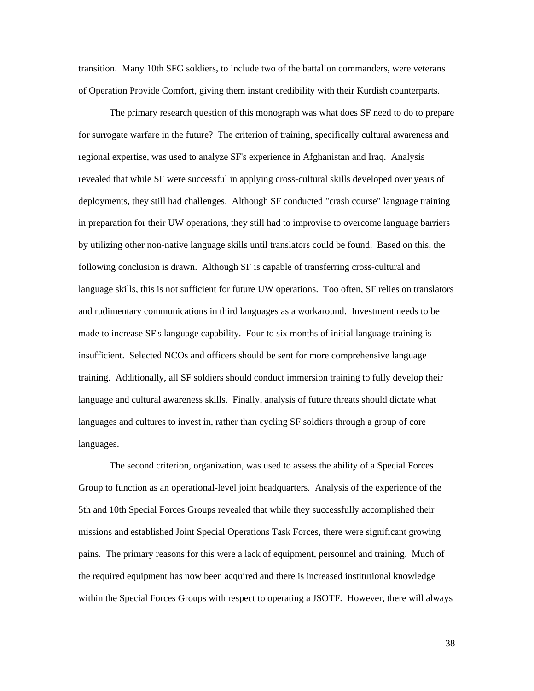transition. Many 10th SFG soldiers, to include two of the battalion commanders, were veterans of Operation Provide Comfort, giving them instant credibility with their Kurdish counterparts.

The primary research question of this monograph was what does SF need to do to prepare for surrogate warfare in the future? The criterion of training, specifically cultural awareness and regional expertise, was used to analyze SF's experience in Afghanistan and Iraq. Analysis revealed that while SF were successful in applying cross-cultural skills developed over years of deployments, they still had challenges. Although SF conducted "crash course" language training in preparation for their UW operations, they still had to improvise to overcome language barriers by utilizing other non-native language skills until translators could be found. Based on this, the following conclusion is drawn. Although SF is capable of transferring cross-cultural and language skills, this is not sufficient for future UW operations. Too often, SF relies on translators and rudimentary communications in third languages as a workaround. Investment needs to be made to increase SF's language capability. Four to six months of initial language training is insufficient. Selected NCOs and officers should be sent for more comprehensive language training. Additionally, all SF soldiers should conduct immersion training to fully develop their language and cultural awareness skills. Finally, analysis of future threats should dictate what languages and cultures to invest in, rather than cycling SF soldiers through a group of core languages.

The second criterion, organization, was used to assess the ability of a Special Forces Group to function as an operational-level joint headquarters. Analysis of the experience of the 5th and 10th Special Forces Groups revealed that while they successfully accomplished their missions and established Joint Special Operations Task Forces, there were significant growing pains. The primary reasons for this were a lack of equipment, personnel and training. Much of the required equipment has now been acquired and there is increased institutional knowledge within the Special Forces Groups with respect to operating a JSOTF. However, there will always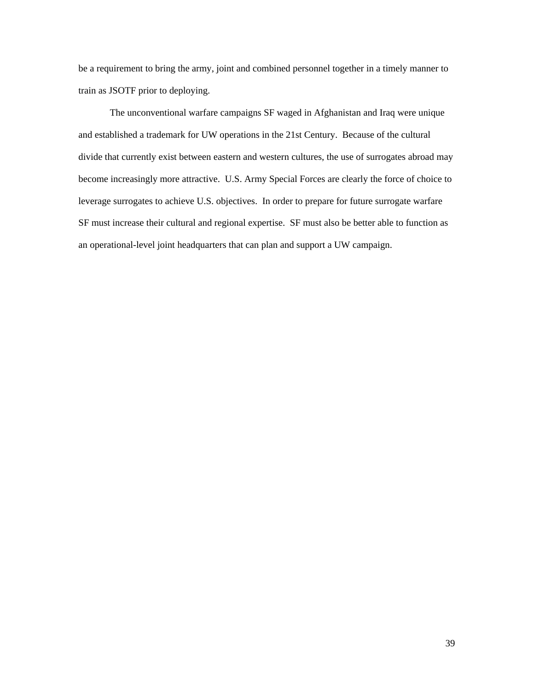be a requirement to bring the army, joint and combined personnel together in a timely manner to train as JSOTF prior to deploying.

The unconventional warfare campaigns SF waged in Afghanistan and Iraq were unique and established a trademark for UW operations in the 21st Century. Because of the cultural divide that currently exist between eastern and western cultures, the use of surrogates abroad may become increasingly more attractive. U.S. Army Special Forces are clearly the force of choice to leverage surrogates to achieve U.S. objectives. In order to prepare for future surrogate warfare SF must increase their cultural and regional expertise. SF must also be better able to function as an operational-level joint headquarters that can plan and support a UW campaign.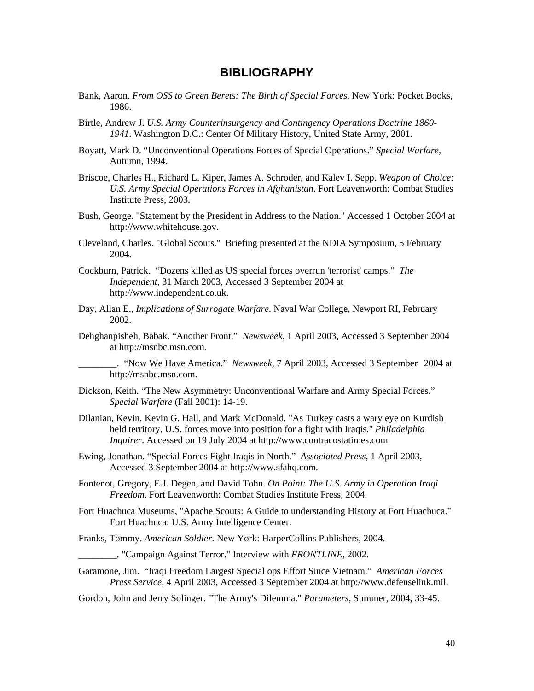# **BIBLIOGRAPHY**

- <span id="page-44-0"></span>Bank, Aaron. *From OSS to Green Berets: The Birth of Special Forces*. New York: Pocket Books, 1986.
- Birtle, Andrew J. *U.S. Army Counterinsurgency and Contingency Operations Doctrine 1860- 1941*. Washington D.C.: Center Of Military History, United State Army, 2001.
- Boyatt, Mark D. "Unconventional Operations Forces of Special Operations." *Special Warfare*, Autumn, 1994.
- Briscoe, Charles H., Richard L. Kiper, James A. Schroder, and Kalev I. Sepp. *Weapon of Choice: U.S. Army Special Operations Forces in Afghanistan*. Fort Leavenworth: Combat Studies Institute Press, 2003.
- Bush, George. "Statement by the President in Address to the Nation." Accessed 1 October 2004 at http://www.whitehouse.gov.
- Cleveland, Charles. "Global Scouts." Briefing presented at the NDIA Symposium, 5 February 2004.
- Cockburn, Patrick. "Dozens killed as US special forces overrun 'terrorist' camps." *The Independent*, 31 March 2003, Accessed 3 September 2004 at http://www.independent.co.uk.
- Day, Allan E., *Implications of Surrogate Warfare*. Naval War College, Newport RI, February 2002.
- Dehghanpisheh, Babak. "Another Front." *Newsweek*, 1 April 2003, Accessed 3 September 2004 at http://msnbc.msn.com.

\_\_\_\_\_\_\_\_. "Now We Have America." *Newsweek*, 7 April 2003, Accessed 3 September 2004 at http://msnbc.msn.com.

- Dickson, Keith. "The New Asymmetry: Unconventional Warfare and Army Special Forces." *Special Warfare* (Fall 2001): 14-19.
- Dilanian, Kevin, Kevin G. Hall, and Mark McDonald. "As Turkey casts a wary eye on Kurdish held territory, U.S. forces move into position for a fight with Iraqis." *Philadelphia Inquirer*. Accessed on 19 July 2004 at http://www.contracostatimes.com.
- Ewing, Jonathan. "Special Forces Fight Iraqis in North." *Associated Press*, 1 April 2003, Accessed 3 September 2004 at http://www.sfahq.com.
- Fontenot, Gregory, E.J. Degen, and David Tohn. *On Point: The U.S. Army in Operation Iraqi Freedom*. Fort Leavenworth: Combat Studies Institute Press, 2004.
- Fort Huachuca Museums, "Apache Scouts: A Guide to understanding History at Fort Huachuca." Fort Huachuca: U.S. Army Intelligence Center.
- Franks, Tommy. *American Soldier*. New York: HarperCollins Publishers, 2004.
	- \_\_\_\_\_\_\_\_. "Campaign Against Terror." Interview with *FRONTLINE*, 2002.
- Garamone, Jim. "Iraqi Freedom Largest Special ops Effort Since Vietnam." *American Forces Press Service,* 4 April 2003, Accessed 3 September 2004 at http://www.defenselink.mil.
- Gordon, John and Jerry Solinger. "The Army's Dilemma." *Parameters*, Summer, 2004, 33-45.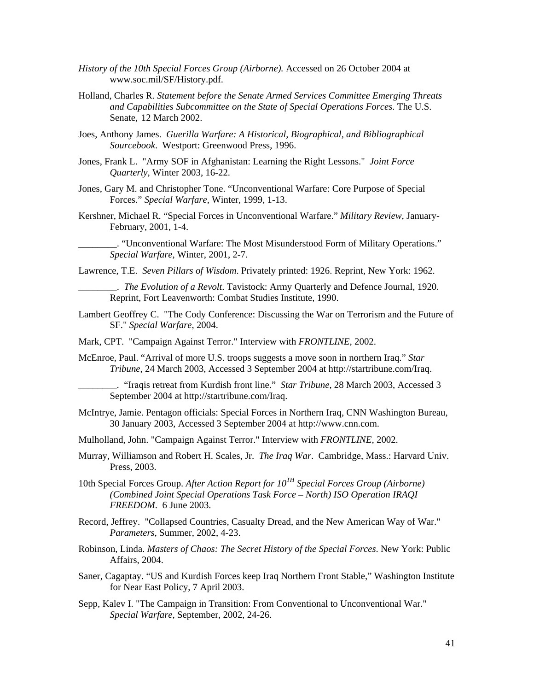- *History of the 10th Special Forces Group (Airborne).* Accessed on 26 October 2004 at www.soc.mil/SF/History.pdf.
- Holland, Charles R. *Statement before the Senate Armed Services Committee Emerging Threats and Capabilities Subcommittee on the State of Special Operations Forces*. The U.S. Senate, 12 March 2002.
- Joes, Anthony James. *Guerilla Warfare: A Historical, Biographical, and Bibliographical Sourcebook*. Westport: Greenwood Press, 1996.
- Jones, Frank L. "Army SOF in Afghanistan: Learning the Right Lessons." *Joint Force Quarterly*, Winter 2003, 16-22.
- Jones, Gary M. and Christopher Tone. "Unconventional Warfare: Core Purpose of Special Forces." *Special Warfare*, Winter, 1999, 1-13.
- Kershner, Michael R. "Special Forces in Unconventional Warfare." *Military Review*, January-February, 2001, 1-4.

\_\_\_\_\_\_\_\_. "Unconventional Warfare: The Most Misunderstood Form of Military Operations." *Special Warfare*, Winter, 2001, 2-7.

Lawrence, T.E. *Seven Pillars of Wisdom*. Privately printed: 1926. Reprint, New York: 1962.

- \_\_\_\_\_\_\_\_. *The Evolution of a Revolt*. Tavistock: Army Quarterly and Defence Journal, 1920. Reprint, Fort Leavenworth: Combat Studies Institute, 1990.
- Lambert Geoffrey C. "The Cody Conference: Discussing the War on Terrorism and the Future of SF." *Special Warfare*, 2004.
- Mark, CPT. "Campaign Against Terror." Interview with *FRONTLINE*, 2002.
- McEnroe, Paul. "Arrival of more U.S. troops suggests a move soon in northern Iraq." *Star Tribune*, 24 March 2003, Accessed 3 September 2004 at http://startribune.com/Iraq.

\_\_\_\_\_\_\_\_. "Iraqis retreat from Kurdish front line." *Star Tribune*, 28 March 2003, Accessed 3 September 2004 at http://startribune.com/Iraq.

- McIntrye, Jamie. Pentagon officials: Special Forces in Northern Iraq, CNN Washington Bureau, 30 January 2003, Accessed 3 September 2004 at http://www.cnn.com.
- Mulholland, John. "Campaign Against Terror." Interview with *FRONTLINE*, 2002.
- Murray, Williamson and Robert H. Scales, Jr. *The Iraq War*. Cambridge, Mass.: Harvard Univ. Press, 2003.
- 10th Special Forces Group. *After Action Report for 10TH Special Forces Group (Airborne) (Combined Joint Special Operations Task Force – North) ISO Operation IRAQI FREEDOM*. 6 June 2003.
- Record, Jeffrey. "Collapsed Countries, Casualty Dread, and the New American Way of War." *Parameters*, Summer, 2002, 4-23.
- Robinson, Linda. *Masters of Chaos: The Secret History of the Special Forces*. New York: Public Affairs, 2004.
- Saner, Cagaptay. "US and Kurdish Forces keep Iraq Northern Front Stable," Washington Institute for Near East Policy, 7 April 2003.
- Sepp, Kalev I. "The Campaign in Transition: From Conventional to Unconventional War." *Special Warfare*, September, 2002, 24-26.